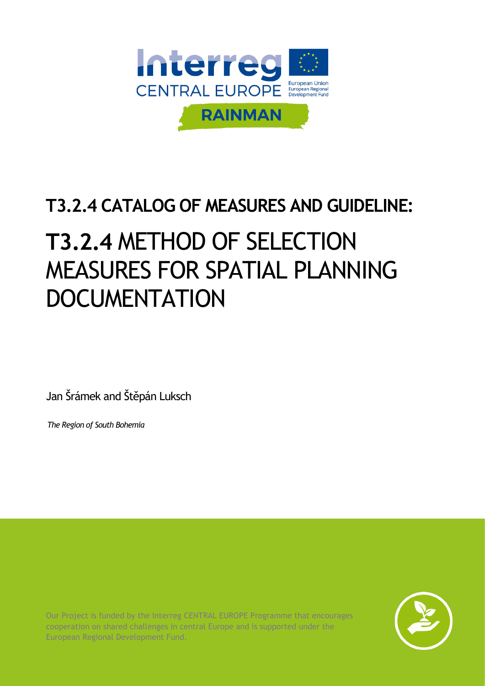

## **T3.2.4 CATALOG OF MEASURES AND GUIDELINE:**

# **T3.2.4** METHOD OF SELECTION MEASURES FOR SPATIAL PLANNING **DOCUMENTATION**

Jan Šrámek and Štěpán Luksch

*The Region of South Bohemia*

Our Project is funded by the Interreg CENTRAL EUROPE Programme that encourages cooperation on shared challenges in central Europe and is supported under the European Regional Development Fund.

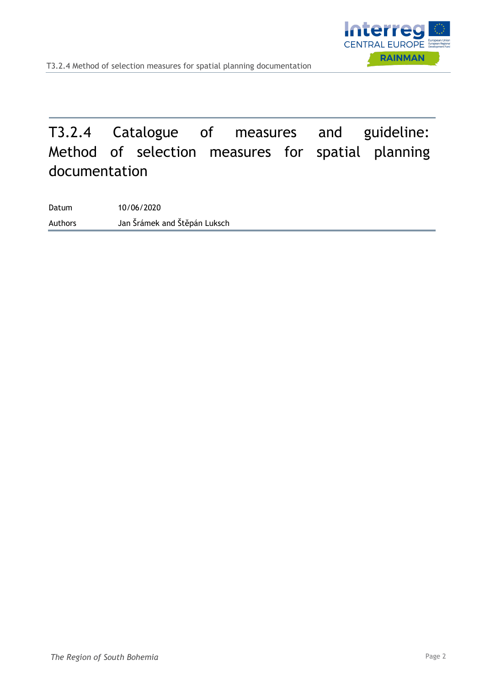

## T3.2.4 Catalogue of measures and guideline: Method of selection measures for spatial planning documentation

Datum 10/06/2020 Authors Jan Šrámek and Štěpán Luksch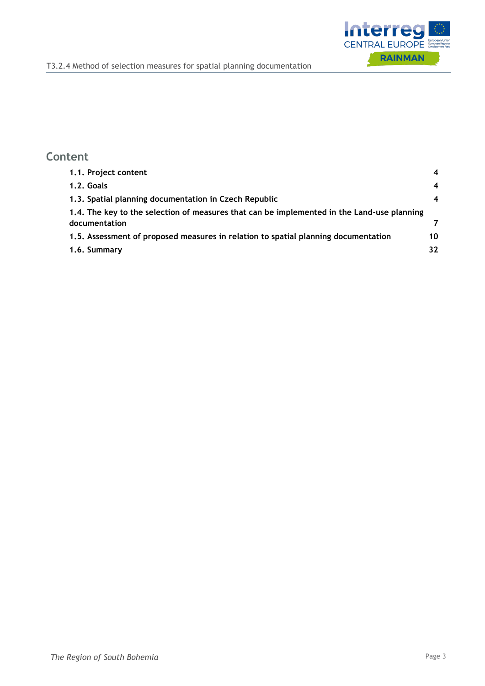

#### **Content**

| 1.1. Project content                                                                                        | 4                |
|-------------------------------------------------------------------------------------------------------------|------------------|
| 1.2. Goals                                                                                                  | $\boldsymbol{4}$ |
| 1.3. Spatial planning documentation in Czech Republic                                                       | $\boldsymbol{4}$ |
| 1.4. The key to the selection of measures that can be implemented in the Land-use planning<br>documentation |                  |
| 1.5. Assessment of proposed measures in relation to spatial planning documentation                          | 10               |
| 1.6. Summary                                                                                                | 32               |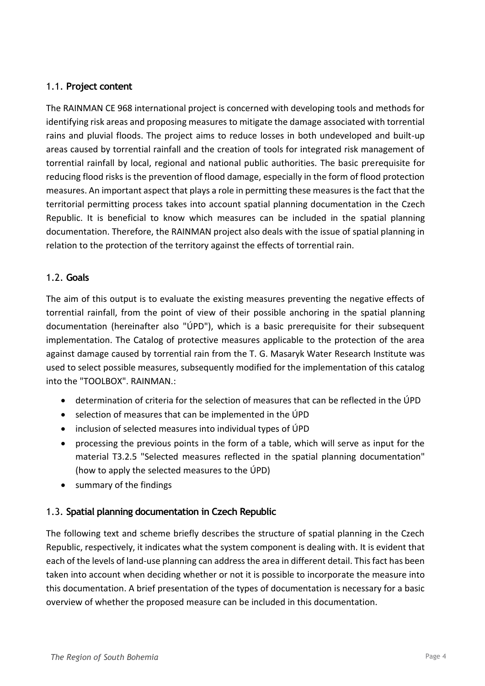#### <span id="page-3-0"></span>1.1. **Project content**

The RAINMAN CE 968 international project is concerned with developing tools and methods for identifying risk areas and proposing measures to mitigate the damage associated with torrential rains and pluvial floods. The project aims to reduce losses in both undeveloped and built-up areas caused by torrential rainfall and the creation of tools for integrated risk management of torrential rainfall by local, regional and national public authorities. The basic prerequisite for reducing flood risks is the prevention of flood damage, especially in the form of flood protection measures. An important aspect that plays a role in permitting these measures is the fact that the territorial permitting process takes into account spatial planning documentation in the Czech Republic. It is beneficial to know which measures can be included in the spatial planning documentation. Therefore, the RAINMAN project also deals with the issue of spatial planning in relation to the protection of the territory against the effects of torrential rain.

#### <span id="page-3-1"></span>1.2. **Goals**

The aim of this output is to evaluate the existing measures preventing the negative effects of torrential rainfall, from the point of view of their possible anchoring in the spatial planning documentation (hereinafter also "ÚPD"), which is a basic prerequisite for their subsequent implementation. The Catalog of protective measures applicable to the protection of the area against damage caused by torrential rain from the T. G. Masaryk Water Research Institute was used to select possible measures, subsequently modified for the implementation of this catalog into the "TOOLBOX". RAINMAN.:

- determination of criteria for the selection of measures that can be reflected in the ÚPD
- selection of measures that can be implemented in the ÚPD
- inclusion of selected measures into individual types of ÚPD
- processing the previous points in the form of a table, which will serve as input for the material T3.2.5 "Selected measures reflected in the spatial planning documentation" (how to apply the selected measures to the ÚPD)
- summary of the findings

#### <span id="page-3-2"></span>1.3. **Spatial planning documentation in Czech Republic**

The following text and scheme briefly describes the structure of spatial planning in the Czech Republic, respectively, it indicates what the system component is dealing with. It is evident that each of the levels of land-use planning can address the area in different detail. This fact has been taken into account when deciding whether or not it is possible to incorporate the measure into this documentation. A brief presentation of the types of documentation is necessary for a basic overview of whether the proposed measure can be included in this documentation.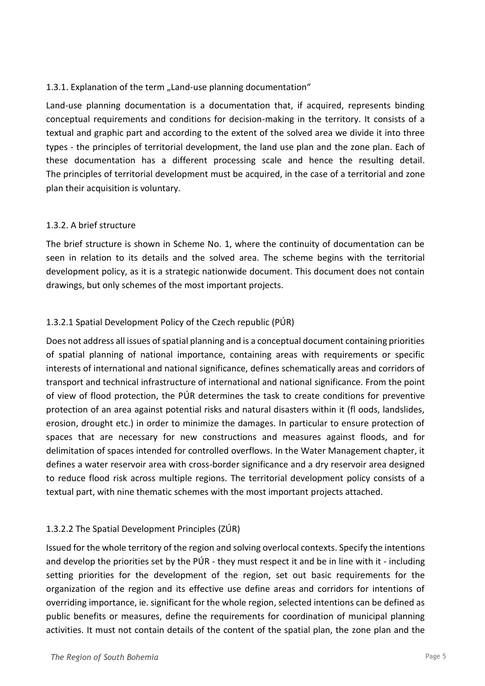#### 1.3.1. Explanation of the term "Land-use planning documentation"

Land-use planning documentation is a documentation that, if acquired, represents binding conceptual requirements and conditions for decision-making in the territory. It consists of a textual and graphic part and according to the extent of the solved area we divide it into three types - the principles of territorial development, the land use plan and the zone plan. Each of these documentation has a different processing scale and hence the resulting detail. The principles of territorial development must be acquired, in the case of a territorial and zone plan their acquisition is voluntary.

#### 1.3.2. A brief structure

The brief structure is shown in Scheme No. 1, where the continuity of documentation can be seen in relation to its details and the solved area. The scheme begins with the territorial development policy, as it is a strategic nationwide document. This document does not contain drawings, but only schemes of the most important projects.

#### 1.3.2.1 Spatial Development Policy of the Czech republic (PÚR)

Does not address all issues of spatial planning and is a conceptual document containing priorities of spatial planning of national importance, containing areas with requirements or specific interests of international and national significance, defines schematically areas and corridors of transport and technical infrastructure of international and national significance. From the point of view of flood protection, the PÚR determines the task to create conditions for preventive protection of an area against potential risks and natural disasters within it (fl oods, landslides, erosion, drought etc.) in order to minimize the damages. In particular to ensure protection of spaces that are necessary for new constructions and measures against floods, and for delimitation of spaces intended for controlled overflows. In the Water Management chapter, it defines a water reservoir area with cross-border significance and a dry reservoir area designed to reduce flood risk across multiple regions. The territorial development policy consists of a textual part, with nine thematic schemes with the most important projects attached.

#### 1.3.2.2 The Spatial Development Principles (ZÚR)

Issued for the whole territory of the region and solving overlocal contexts. Specify the intentions and develop the priorities set by the PÚR - they must respect it and be in line with it - including setting priorities for the development of the region, set out basic requirements for the organization of the region and its effective use define areas and corridors for intentions of overriding importance, ie. significant for the whole region, selected intentions can be defined as public benefits or measures, define the requirements for coordination of municipal planning activities. It must not contain details of the content of the spatial plan, the zone plan and the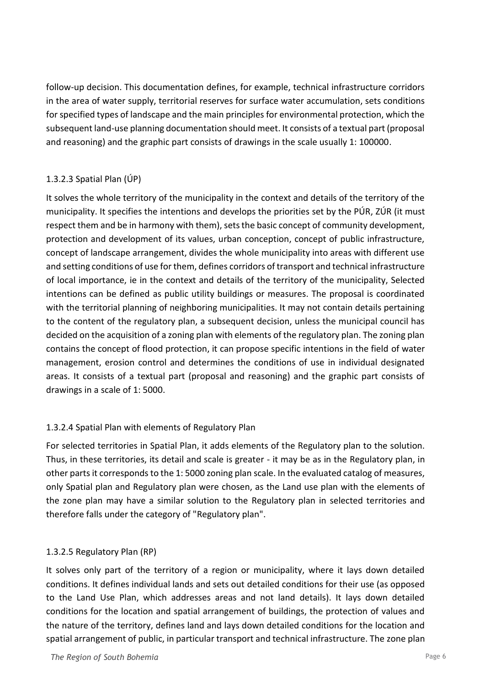follow-up decision. This documentation defines, for example, technical infrastructure corridors in the area of water supply, territorial reserves for surface water accumulation, sets conditions for specified types of landscape and the main principles for environmental protection, which the subsequent land-use planning documentation should meet. It consists of a textual part (proposal and reasoning) and the graphic part consists of drawings in the scale usually 1: 100000.

#### 1.3.2.3 Spatial Plan (ÚP)

It solves the whole territory of the municipality in the context and details of the territory of the municipality. It specifies the intentions and develops the priorities set by the PÚR, ZÚR (it must respect them and be in harmony with them), sets the basic concept of community development, protection and development of its values, urban conception, concept of public infrastructure, concept of landscape arrangement, divides the whole municipality into areas with different use and setting conditions of use for them, defines corridors of transport and technical infrastructure of local importance, ie in the context and details of the territory of the municipality, Selected intentions can be defined as public utility buildings or measures. The proposal is coordinated with the territorial planning of neighboring municipalities. It may not contain details pertaining to the content of the regulatory plan, a subsequent decision, unless the municipal council has decided on the acquisition of a zoning plan with elements of the regulatory plan. The zoning plan contains the concept of flood protection, it can propose specific intentions in the field of water management, erosion control and determines the conditions of use in individual designated areas. It consists of a textual part (proposal and reasoning) and the graphic part consists of drawings in a scale of 1: 5000.

#### 1.3.2.4 Spatial Plan with elements of Regulatory Plan

For selected territories in Spatial Plan, it adds elements of the Regulatory plan to the solution. Thus, in these territories, its detail and scale is greater - it may be as in the Regulatory plan, in other parts it corresponds to the 1: 5000 zoning plan scale. In the evaluated catalog of measures, only Spatial plan and Regulatory plan were chosen, as the Land use plan with the elements of the zone plan may have a similar solution to the Regulatory plan in selected territories and therefore falls under the category of "Regulatory plan".

#### 1.3.2.5 Regulatory Plan (RP)

It solves only part of the territory of a region or municipality, where it lays down detailed conditions. It defines individual lands and sets out detailed conditions for their use (as opposed to the Land Use Plan, which addresses areas and not land details). It lays down detailed conditions for the location and spatial arrangement of buildings, the protection of values and the nature of the territory, defines land and lays down detailed conditions for the location and spatial arrangement of public, in particular transport and technical infrastructure. The zone plan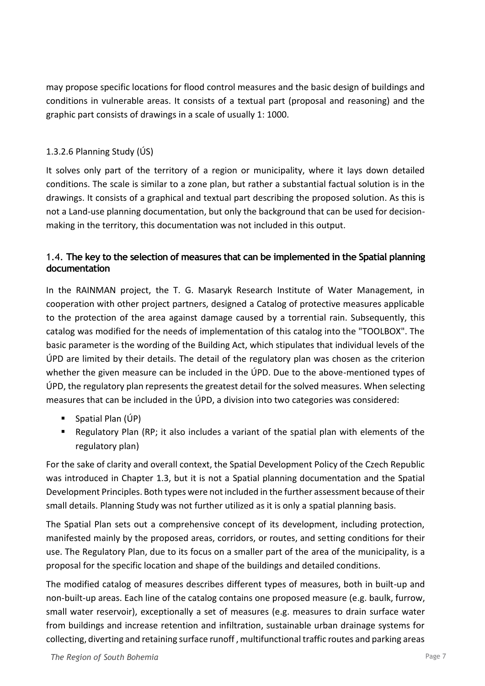may propose specific locations for flood control measures and the basic design of buildings and conditions in vulnerable areas. It consists of a textual part (proposal and reasoning) and the graphic part consists of drawings in a scale of usually 1: 1000.

#### 1.3.2.6 Planning Study (ÚS)

It solves only part of the territory of a region or municipality, where it lays down detailed conditions. The scale is similar to a zone plan, but rather a substantial factual solution is in the drawings. It consists of a graphical and textual part describing the proposed solution. As this is not a Land-use planning documentation, but only the background that can be used for decisionmaking in the territory, this documentation was not included in this output.

#### <span id="page-6-0"></span>1.4. **The key to the selection of measures that can be implemented in the Spatial planning documentation**

In the RAINMAN project, the T. G. Masaryk Research Institute of Water Management, in cooperation with other project partners, designed a Catalog of protective measures applicable to the protection of the area against damage caused by a torrential rain. Subsequently, this catalog was modified for the needs of implementation of this catalog into the "TOOLBOX". The basic parameter is the wording of the Building Act, which stipulates that individual levels of the ÚPD are limited by their details. The detail of the regulatory plan was chosen as the criterion whether the given measure can be included in the ÚPD. Due to the above-mentioned types of ÚPD, the regulatory plan represents the greatest detail for the solved measures. When selecting measures that can be included in the ÚPD, a division into two categories was considered:

- $\blacksquare$  Spatial Plan (ÚP)
- Regulatory Plan (RP; it also includes a variant of the spatial plan with elements of the regulatory plan)

For the sake of clarity and overall context, the Spatial Development Policy of the Czech Republic was introduced in Chapter 1.3, but it is not a Spatial planning documentation and the Spatial Development Principles. Both types were not included in the further assessment because of their small details. Planning Study was not further utilized as it is only a spatial planning basis.

The Spatial Plan sets out a comprehensive concept of its development, including protection, manifested mainly by the proposed areas, corridors, or routes, and setting conditions for their use. The Regulatory Plan, due to its focus on a smaller part of the area of the municipality, is a proposal for the specific location and shape of the buildings and detailed conditions.

The modified catalog of measures describes different types of measures, both in built-up and non-built-up areas. Each line of the catalog contains one proposed measure (e.g. baulk, furrow, small water reservoir), exceptionally a set of measures (e.g. measures to drain surface water from buildings and increase retention and infiltration, sustainable urban drainage systems for collecting, diverting and retaining surface runoff , multifunctional traffic routes and parking areas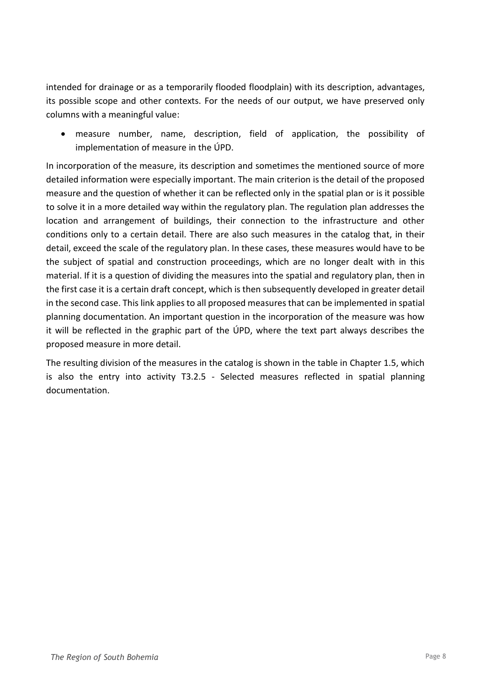intended for drainage or as a temporarily flooded floodplain) with its description, advantages, its possible scope and other contexts. For the needs of our output, we have preserved only columns with a meaningful value:

• measure number, name, description, field of application, the possibility of implementation of measure in the ÚPD.

In incorporation of the measure, its description and sometimes the mentioned source of more detailed information were especially important. The main criterion is the detail of the proposed measure and the question of whether it can be reflected only in the spatial plan or is it possible to solve it in a more detailed way within the regulatory plan. The regulation plan addresses the location and arrangement of buildings, their connection to the infrastructure and other conditions only to a certain detail. There are also such measures in the catalog that, in their detail, exceed the scale of the regulatory plan. In these cases, these measures would have to be the subject of spatial and construction proceedings, which are no longer dealt with in this material. If it is a question of dividing the measures into the spatial and regulatory plan, then in the first case it is a certain draft concept, which is then subsequently developed in greater detail in the second case. This link applies to all proposed measures that can be implemented in spatial planning documentation. An important question in the incorporation of the measure was how it will be reflected in the graphic part of the ÚPD, where the text part always describes the proposed measure in more detail.

The resulting division of the measures in the catalog is shown in the table in Chapter 1.5, which is also the entry into activity T3.2.5 - Selected measures reflected in spatial planning documentation.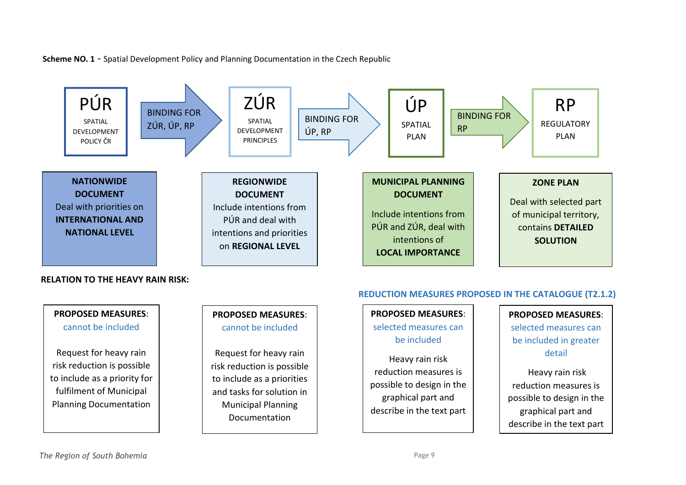**Scheme NO. 1** - Spatial Development Policy and Planning Documentation in the Czech Republic



#### **RELATION TO THE HEAVY RAIN RISK:**



#### **PROPOSED MEASURES**: cannot be included

Request for heavy rain risk reduction is possible to include as a priorities and tasks for solution in Municipal Planning Documentation

#### **REDUCTION MEASURES PROPOSED IN THE CATALOGUE (T2.1.2)**

**PROPOSED MEASURES**: selected measures can be included

Heavy rain risk reduction measures is possible to design in the graphical part and describe in the text part

#### **PROPOSED MEASURES**:

selected measures can be included in greater detail

Heavy rain risk reduction measures is possible to design in the graphical part and describe in the text part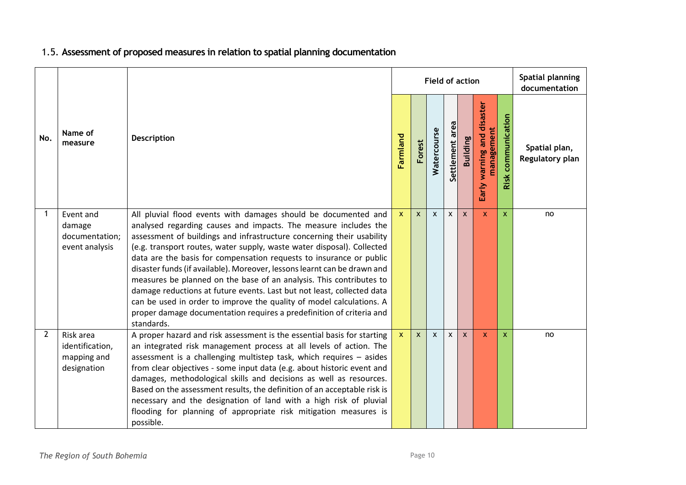#### 1.5. **Assessment of proposed measures in relation to spatial planning documentation**

<span id="page-9-0"></span>

|              |                                                            |                                                                                                                                                                                                                                                                                                                                                                                                                                                                                                                                                                                                                                                                                                                                                        |              |              | <b>Field of action</b> |                    |                           | Spatial planning<br>documentation       |                       |                                  |
|--------------|------------------------------------------------------------|--------------------------------------------------------------------------------------------------------------------------------------------------------------------------------------------------------------------------------------------------------------------------------------------------------------------------------------------------------------------------------------------------------------------------------------------------------------------------------------------------------------------------------------------------------------------------------------------------------------------------------------------------------------------------------------------------------------------------------------------------------|--------------|--------------|------------------------|--------------------|---------------------------|-----------------------------------------|-----------------------|----------------------------------|
| No.          | Name of<br>measure                                         | <b>Description</b>                                                                                                                                                                                                                                                                                                                                                                                                                                                                                                                                                                                                                                                                                                                                     | Farmland     | Forest       | Watercourse            | area<br>Settlement | <b>Building</b>           | Early warning and disaste<br>management | communication<br>Risk | Spatial plan,<br>Regulatory plan |
| $\mathbf 1$  | Event and<br>damage<br>documentation;<br>event analysis    | All pluvial flood events with damages should be documented and<br>analysed regarding causes and impacts. The measure includes the<br>assessment of buildings and infrastructure concerning their usability<br>(e.g. transport routes, water supply, waste water disposal). Collected<br>data are the basis for compensation requests to insurance or public<br>disaster funds (if available). Moreover, lessons learnt can be drawn and<br>measures be planned on the base of an analysis. This contributes to<br>damage reductions at future events. Last but not least, collected data<br>can be used in order to improve the quality of model calculations. A<br>proper damage documentation requires a predefinition of criteria and<br>standards. | $\mathbf{x}$ | $\mathsf{x}$ | $\mathsf{x}$           | $\mathsf{x}$       | $\boldsymbol{\mathsf{x}}$ | $\mathsf{x}$                            | X                     | no                               |
| $\mathbf{2}$ | Risk area<br>identification,<br>mapping and<br>designation | A proper hazard and risk assessment is the essential basis for starting<br>an integrated risk management process at all levels of action. The<br>assessment is a challenging multistep task, which requires - asides<br>from clear objectives - some input data (e.g. about historic event and<br>damages, methodological skills and decisions as well as resources.<br>Based on the assessment results, the definition of an acceptable risk is<br>necessary and the designation of land with a high risk of pluvial<br>flooding for planning of appropriate risk mitigation measures is<br>possible.                                                                                                                                                 | $\mathbf{x}$ | $\mathsf{x}$ | $\mathsf{x}$           | $\mathsf{x}$       | $\mathsf{x}$              | $\mathbf{x}$                            | X                     | no                               |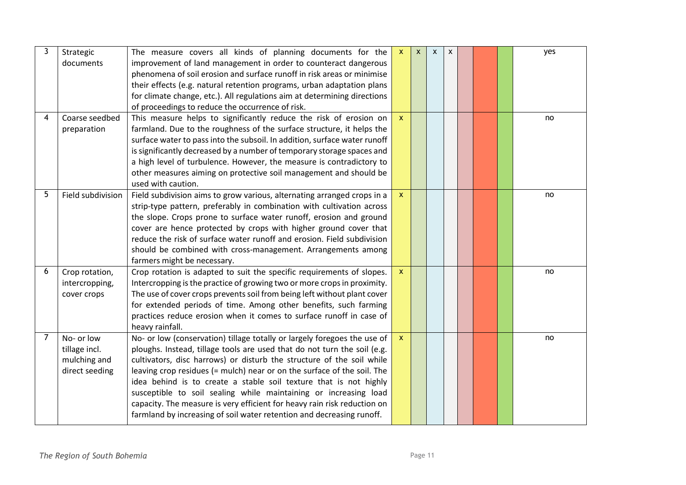| 3              | Strategic<br>documents                                        | The measure covers all kinds of planning documents for the<br>improvement of land management in order to counteract dangerous<br>phenomena of soil erosion and surface runoff in risk areas or minimise<br>their effects (e.g. natural retention programs, urban adaptation plans<br>for climate change, etc.). All regulations aim at determining directions<br>of proceedings to reduce the occurrence of risk.                                                                                                                                                                                      | $\mathsf{x}$              | $\mathsf{x}$ | $\pmb{\chi}$ | $\pmb{\chi}$ |  | yes |
|----------------|---------------------------------------------------------------|--------------------------------------------------------------------------------------------------------------------------------------------------------------------------------------------------------------------------------------------------------------------------------------------------------------------------------------------------------------------------------------------------------------------------------------------------------------------------------------------------------------------------------------------------------------------------------------------------------|---------------------------|--------------|--------------|--------------|--|-----|
| 4              | Coarse seedbed<br>preparation                                 | This measure helps to significantly reduce the risk of erosion on<br>farmland. Due to the roughness of the surface structure, it helps the<br>surface water to pass into the subsoil. In addition, surface water runoff<br>is significantly decreased by a number of temporary storage spaces and<br>a high level of turbulence. However, the measure is contradictory to<br>other measures aiming on protective soil management and should be<br>used with caution.                                                                                                                                   | $\boldsymbol{\mathsf{X}}$ |              |              |              |  | no  |
| 5              | Field subdivision                                             | Field subdivision aims to grow various, alternating arranged crops in a<br>strip-type pattern, preferably in combination with cultivation across<br>the slope. Crops prone to surface water runoff, erosion and ground<br>cover are hence protected by crops with higher ground cover that<br>reduce the risk of surface water runoff and erosion. Field subdivision<br>should be combined with cross-management. Arrangements among<br>farmers might be necessary.                                                                                                                                    | $\mathbf{x}$              |              |              |              |  | no  |
| 6              | Crop rotation,<br>intercropping,<br>cover crops               | Crop rotation is adapted to suit the specific requirements of slopes.<br>Intercropping is the practice of growing two or more crops in proximity.<br>The use of cover crops prevents soil from being left without plant cover<br>for extended periods of time. Among other benefits, such farming<br>practices reduce erosion when it comes to surface runoff in case of<br>heavy rainfall.                                                                                                                                                                                                            | $\mathbf{x}$              |              |              |              |  | no  |
| $\overline{7}$ | No- or low<br>tillage incl.<br>mulching and<br>direct seeding | No- or low (conservation) tillage totally or largely foregoes the use of<br>ploughs. Instead, tillage tools are used that do not turn the soil (e.g.<br>cultivators, disc harrows) or disturb the structure of the soil while<br>leaving crop residues (= mulch) near or on the surface of the soil. The<br>idea behind is to create a stable soil texture that is not highly<br>susceptible to soil sealing while maintaining or increasing load<br>capacity. The measure is very efficient for heavy rain risk reduction on<br>farmland by increasing of soil water retention and decreasing runoff. | $\mathbf{x}$              |              |              |              |  | no  |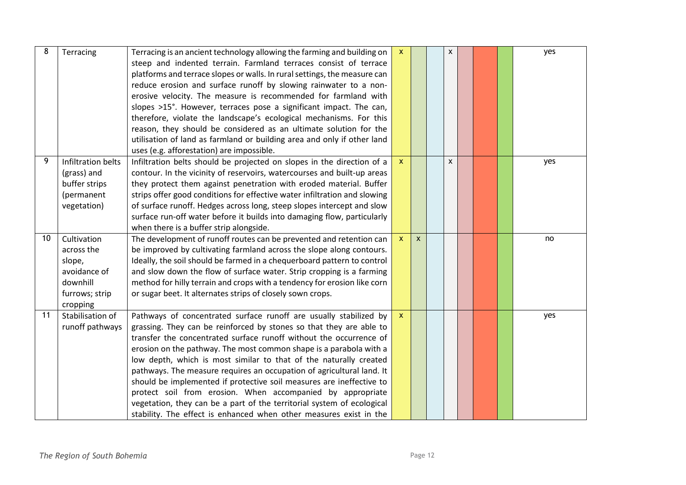| 8  | Terracing                                                                                     | Terracing is an ancient technology allowing the farming and building on<br>steep and indented terrain. Farmland terraces consist of terrace<br>platforms and terrace slopes or walls. In rural settings, the measure can<br>reduce erosion and surface runoff by slowing rainwater to a non-<br>erosive velocity. The measure is recommended for farmland with<br>slopes >15°. However, terraces pose a significant impact. The can,<br>therefore, violate the landscape's ecological mechanisms. For this<br>reason, they should be considered as an ultimate solution for the<br>utilisation of land as farmland or building area and only if other land<br>uses (e.g. afforestation) are impossible.                  | $\boldsymbol{\mathsf{x}}$ |              | X |  | yes |
|----|-----------------------------------------------------------------------------------------------|--------------------------------------------------------------------------------------------------------------------------------------------------------------------------------------------------------------------------------------------------------------------------------------------------------------------------------------------------------------------------------------------------------------------------------------------------------------------------------------------------------------------------------------------------------------------------------------------------------------------------------------------------------------------------------------------------------------------------|---------------------------|--------------|---|--|-----|
| 9  | Infiltration belts<br>(grass) and<br>buffer strips<br>(permanent<br>vegetation)               | Infiltration belts should be projected on slopes in the direction of a<br>contour. In the vicinity of reservoirs, watercourses and built-up areas<br>they protect them against penetration with eroded material. Buffer<br>strips offer good conditions for effective water infiltration and slowing<br>of surface runoff. Hedges across long, steep slopes intercept and slow<br>surface run-off water before it builds into damaging flow, particularly<br>when there is a buffer strip alongside.                                                                                                                                                                                                                     | $\boldsymbol{\mathsf{x}}$ |              | X |  | yes |
| 10 | Cultivation<br>across the<br>slope,<br>avoidance of<br>downhill<br>furrows; strip<br>cropping | The development of runoff routes can be prevented and retention can<br>be improved by cultivating farmland across the slope along contours.<br>Ideally, the soil should be farmed in a chequerboard pattern to control<br>and slow down the flow of surface water. Strip cropping is a farming<br>method for hilly terrain and crops with a tendency for erosion like corn<br>or sugar beet. It alternates strips of closely sown crops.                                                                                                                                                                                                                                                                                 | $\mathsf{x}$              | $\mathsf{x}$ |   |  | no  |
| 11 | Stabilisation of<br>runoff pathways                                                           | Pathways of concentrated surface runoff are usually stabilized by<br>grassing. They can be reinforced by stones so that they are able to<br>transfer the concentrated surface runoff without the occurrence of<br>erosion on the pathway. The most common shape is a parabola with a<br>low depth, which is most similar to that of the naturally created<br>pathways. The measure requires an occupation of agricultural land. It<br>should be implemented if protective soil measures are ineffective to<br>protect soil from erosion. When accompanied by appropriate<br>vegetation, they can be a part of the territorial system of ecological<br>stability. The effect is enhanced when other measures exist in the | $\mathbf{x}$              |              |   |  | yes |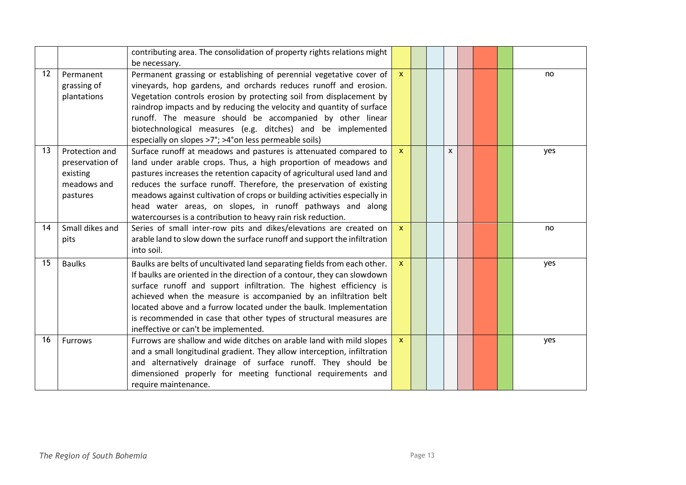|    |                                                                          | contributing area. The consolidation of property rights relations might<br>be necessary.                                                                                                                                                                                                                                                                                                                                                                                                        |              |  |              |  |     |
|----|--------------------------------------------------------------------------|-------------------------------------------------------------------------------------------------------------------------------------------------------------------------------------------------------------------------------------------------------------------------------------------------------------------------------------------------------------------------------------------------------------------------------------------------------------------------------------------------|--------------|--|--------------|--|-----|
| 12 | Permanent<br>grassing of<br>plantations                                  | Permanent grassing or establishing of perennial vegetative cover of<br>vineyards, hop gardens, and orchards reduces runoff and erosion.<br>Vegetation controls erosion by protecting soil from displacement by<br>raindrop impacts and by reducing the velocity and quantity of surface<br>runoff. The measure should be accompanied by other linear<br>biotechnological measures (e.g. ditches) and be implemented<br>especially on slopes >7°; >4°on less permeable soils)                    | $\mathbf{x}$ |  |              |  | no. |
| 13 | Protection and<br>preservation of<br>existing<br>meadows and<br>pastures | Surface runoff at meadows and pastures is attenuated compared to<br>land under arable crops. Thus, a high proportion of meadows and<br>pastures increases the retention capacity of agricultural used land and<br>reduces the surface runoff. Therefore, the preservation of existing<br>meadows against cultivation of crops or building activities especially in<br>head water areas, on slopes, in runoff pathways and along<br>watercourses is a contribution to heavy rain risk reduction. | $\mathbf{x}$ |  | $\mathsf{x}$ |  | yes |
| 14 | Small dikes and<br>pits                                                  | Series of small inter-row pits and dikes/elevations are created on<br>arable land to slow down the surface runoff and support the infiltration<br>into soil.                                                                                                                                                                                                                                                                                                                                    | $\mathbf{x}$ |  |              |  | no  |
| 15 | <b>Baulks</b>                                                            | Baulks are belts of uncultivated land separating fields from each other.<br>If baulks are oriented in the direction of a contour, they can slowdown<br>surface runoff and support infiltration. The highest efficiency is<br>achieved when the measure is accompanied by an infiltration belt<br>located above and a furrow located under the baulk. Implementation<br>is recommended in case that other types of structural measures are<br>ineffective or can't be implemented.               | $\mathbf x$  |  |              |  | yes |
| 16 | <b>Furrows</b>                                                           | Furrows are shallow and wide ditches on arable land with mild slopes<br>and a small longitudinal gradient. They allow interception, infiltration<br>and alternatively drainage of surface runoff. They should be<br>dimensioned properly for meeting functional requirements and<br>require maintenance.                                                                                                                                                                                        | $\mathbf x$  |  |              |  | yes |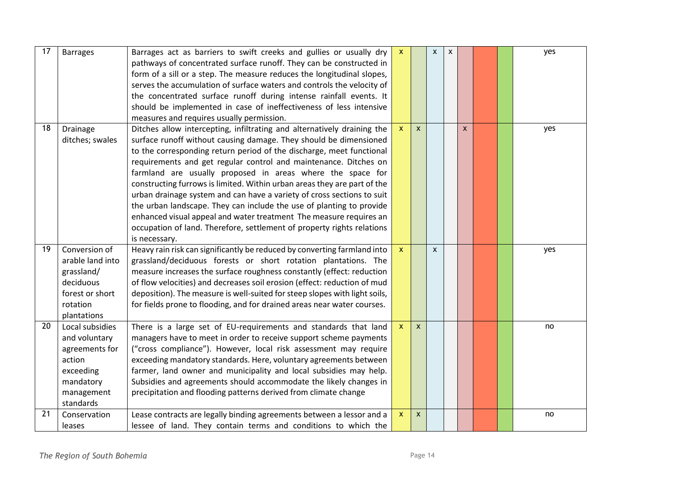| 17 | <b>Barrages</b>                                                                                                   | Barrages act as barriers to swift creeks and gullies or usually dry<br>pathways of concentrated surface runoff. They can be constructed in<br>form of a sill or a step. The measure reduces the longitudinal slopes,<br>serves the accumulation of surface waters and controls the velocity of<br>the concentrated surface runoff during intense rainfall events. It<br>should be implemented in case of ineffectiveness of less intensive<br>measures and requires usually permission.                                                                                                                                                                                                                                                               | $\mathbf{x}$              |              | $\mathsf{x}$ | $\pmb{\chi}$ |                    |  | yes |
|----|-------------------------------------------------------------------------------------------------------------------|-------------------------------------------------------------------------------------------------------------------------------------------------------------------------------------------------------------------------------------------------------------------------------------------------------------------------------------------------------------------------------------------------------------------------------------------------------------------------------------------------------------------------------------------------------------------------------------------------------------------------------------------------------------------------------------------------------------------------------------------------------|---------------------------|--------------|--------------|--------------|--------------------|--|-----|
| 18 | Drainage<br>ditches; swales                                                                                       | Ditches allow intercepting, infiltrating and alternatively draining the<br>surface runoff without causing damage. They should be dimensioned<br>to the corresponding return period of the discharge, meet functional<br>requirements and get regular control and maintenance. Ditches on<br>farmland are usually proposed in areas where the space for<br>constructing furrows is limited. Within urban areas they are part of the<br>urban drainage system and can have a variety of cross sections to suit<br>the urban landscape. They can include the use of planting to provide<br>enhanced visual appeal and water treatment The measure requires an<br>occupation of land. Therefore, settlement of property rights relations<br>is necessary. | $\boldsymbol{\mathsf{x}}$ | $\mathsf{x}$ |              |              | $\pmb{\mathsf{x}}$ |  | yes |
| 19 | Conversion of<br>arable land into<br>grassland/<br>deciduous<br>forest or short<br>rotation<br>plantations        | Heavy rain risk can significantly be reduced by converting farmland into<br>grassland/deciduous forests or short rotation plantations. The<br>measure increases the surface roughness constantly (effect: reduction<br>of flow velocities) and decreases soil erosion (effect: reduction of mud<br>deposition). The measure is well-suited for steep slopes with light soils,<br>for fields prone to flooding, and for drained areas near water courses.                                                                                                                                                                                                                                                                                              | $\mathbf x$               |              | $\mathsf{x}$ |              |                    |  | yes |
| 20 | Local subsidies<br>and voluntary<br>agreements for<br>action<br>exceeding<br>mandatory<br>management<br>standards | There is a large set of EU-requirements and standards that land<br>managers have to meet in order to receive support scheme payments<br>("cross compliance"). However, local risk assessment may require<br>exceeding mandatory standards. Here, voluntary agreements between<br>farmer, land owner and municipality and local subsidies may help.<br>Subsidies and agreements should accommodate the likely changes in<br>precipitation and flooding patterns derived from climate change                                                                                                                                                                                                                                                            | $\boldsymbol{\mathsf{x}}$ | $\mathsf{x}$ |              |              |                    |  | no  |
| 21 | Conservation<br>leases                                                                                            | Lease contracts are legally binding agreements between a lessor and a<br>lessee of land. They contain terms and conditions to which the                                                                                                                                                                                                                                                                                                                                                                                                                                                                                                                                                                                                               | $\boldsymbol{\mathsf{x}}$ | $\mathsf{x}$ |              |              |                    |  | no  |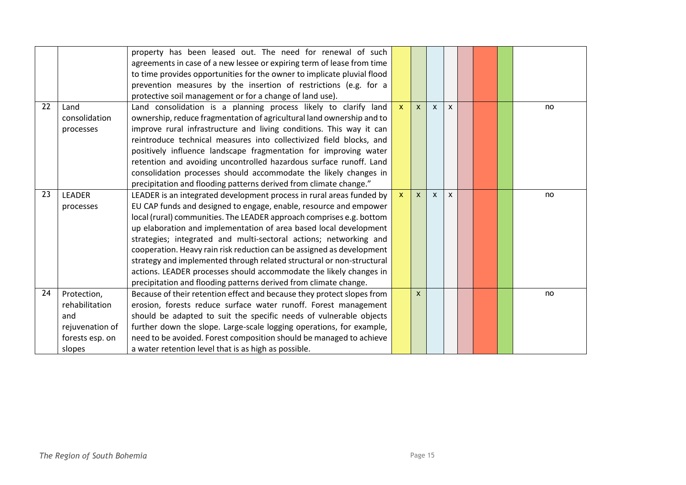|    |                 | property has been leased out. The need for renewal of such              |              |              |              |              |  |    |
|----|-----------------|-------------------------------------------------------------------------|--------------|--------------|--------------|--------------|--|----|
|    |                 | agreements in case of a new lessee or expiring term of lease from time  |              |              |              |              |  |    |
|    |                 | to time provides opportunities for the owner to implicate pluvial flood |              |              |              |              |  |    |
|    |                 | prevention measures by the insertion of restrictions (e.g. for a        |              |              |              |              |  |    |
|    |                 | protective soil management or for a change of land use).                |              |              |              |              |  |    |
| 22 | Land            | Land consolidation is a planning process likely to clarify land         | $\mathsf{x}$ | $\mathsf{x}$ | $\mathsf{x}$ | $\mathsf{x}$ |  | no |
|    | consolidation   | ownership, reduce fragmentation of agricultural land ownership and to   |              |              |              |              |  |    |
|    | processes       | improve rural infrastructure and living conditions. This way it can     |              |              |              |              |  |    |
|    |                 | reintroduce technical measures into collectivized field blocks, and     |              |              |              |              |  |    |
|    |                 | positively influence landscape fragmentation for improving water        |              |              |              |              |  |    |
|    |                 | retention and avoiding uncontrolled hazardous surface runoff. Land      |              |              |              |              |  |    |
|    |                 | consolidation processes should accommodate the likely changes in        |              |              |              |              |  |    |
|    |                 | precipitation and flooding patterns derived from climate change."       |              |              |              |              |  |    |
| 23 | <b>LEADER</b>   | LEADER is an integrated development process in rural areas funded by    | $\mathbf{x}$ | $\mathsf{x}$ | $\mathsf{x}$ | $\mathsf{x}$ |  | no |
|    | processes       | EU CAP funds and designed to engage, enable, resource and empower       |              |              |              |              |  |    |
|    |                 | local (rural) communities. The LEADER approach comprises e.g. bottom    |              |              |              |              |  |    |
|    |                 | up elaboration and implementation of area based local development       |              |              |              |              |  |    |
|    |                 | strategies; integrated and multi-sectoral actions; networking and       |              |              |              |              |  |    |
|    |                 | cooperation. Heavy rain risk reduction can be assigned as development   |              |              |              |              |  |    |
|    |                 | strategy and implemented through related structural or non-structural   |              |              |              |              |  |    |
|    |                 | actions. LEADER processes should accommodate the likely changes in      |              |              |              |              |  |    |
|    |                 | precipitation and flooding patterns derived from climate change.        |              |              |              |              |  |    |
| 24 | Protection,     | Because of their retention effect and because they protect slopes from  |              | $\mathsf{x}$ |              |              |  | no |
|    | rehabilitation  | erosion, forests reduce surface water runoff. Forest management         |              |              |              |              |  |    |
|    | and             | should be adapted to suit the specific needs of vulnerable objects      |              |              |              |              |  |    |
|    | rejuvenation of | further down the slope. Large-scale logging operations, for example,    |              |              |              |              |  |    |
|    | forests esp. on | need to be avoided. Forest composition should be managed to achieve     |              |              |              |              |  |    |
|    | slopes          | a water retention level that is as high as possible.                    |              |              |              |              |  |    |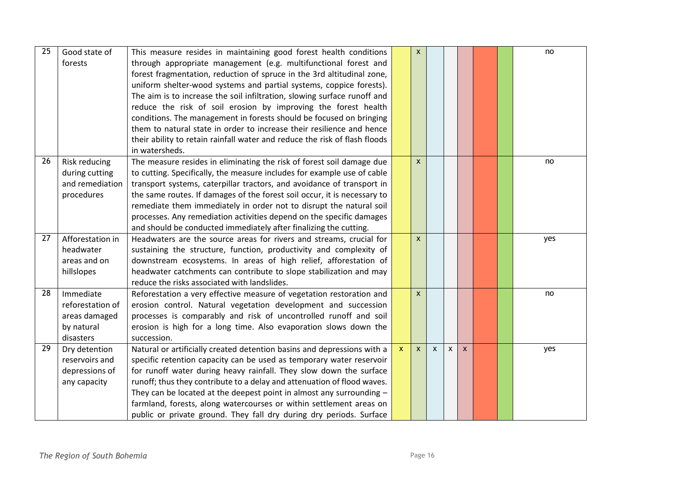| 25 | Good state of        | This measure resides in maintaining good forest health conditions          |                           | $\mathsf{x}$       |              |   |              |  | no  |
|----|----------------------|----------------------------------------------------------------------------|---------------------------|--------------------|--------------|---|--------------|--|-----|
|    | forests              | through appropriate management (e.g. multifunctional forest and            |                           |                    |              |   |              |  |     |
|    |                      | forest fragmentation, reduction of spruce in the 3rd altitudinal zone,     |                           |                    |              |   |              |  |     |
|    |                      | uniform shelter-wood systems and partial systems, coppice forests).        |                           |                    |              |   |              |  |     |
|    |                      | The aim is to increase the soil infiltration, slowing surface runoff and   |                           |                    |              |   |              |  |     |
|    |                      | reduce the risk of soil erosion by improving the forest health             |                           |                    |              |   |              |  |     |
|    |                      | conditions. The management in forests should be focused on bringing        |                           |                    |              |   |              |  |     |
|    |                      | them to natural state in order to increase their resilience and hence      |                           |                    |              |   |              |  |     |
|    |                      | their ability to retain rainfall water and reduce the risk of flash floods |                           |                    |              |   |              |  |     |
|    |                      | in watersheds.                                                             |                           |                    |              |   |              |  |     |
| 26 | <b>Risk reducing</b> | The measure resides in eliminating the risk of forest soil damage due      |                           | $\mathsf{x}$       |              |   |              |  | no  |
|    | during cutting       | to cutting. Specifically, the measure includes for example use of cable    |                           |                    |              |   |              |  |     |
|    | and remediation      | transport systems, caterpillar tractors, and avoidance of transport in     |                           |                    |              |   |              |  |     |
|    | procedures           | the same routes. If damages of the forest soil occur, it is necessary to   |                           |                    |              |   |              |  |     |
|    |                      | remediate them immediately in order not to disrupt the natural soil        |                           |                    |              |   |              |  |     |
|    |                      | processes. Any remediation activities depend on the specific damages       |                           |                    |              |   |              |  |     |
|    |                      | and should be conducted immediately after finalizing the cutting.          |                           |                    |              |   |              |  |     |
| 27 | Afforestation in     | Headwaters are the source areas for rivers and streams, crucial for        |                           | $\mathsf{x}$       |              |   |              |  | yes |
|    | headwater            | sustaining the structure, function, productivity and complexity of         |                           |                    |              |   |              |  |     |
|    | areas and on         | downstream ecosystems. In areas of high relief, afforestation of           |                           |                    |              |   |              |  |     |
|    | hillslopes           | headwater catchments can contribute to slope stabilization and may         |                           |                    |              |   |              |  |     |
|    |                      | reduce the risks associated with landslides.                               |                           |                    |              |   |              |  |     |
| 28 | Immediate            | Reforestation a very effective measure of vegetation restoration and       |                           | $\pmb{\mathsf{X}}$ |              |   |              |  | no  |
|    | reforestation of     | erosion control. Natural vegetation development and succession             |                           |                    |              |   |              |  |     |
|    | areas damaged        | processes is comparably and risk of uncontrolled runoff and soil           |                           |                    |              |   |              |  |     |
|    | by natural           | erosion is high for a long time. Also evaporation slows down the           |                           |                    |              |   |              |  |     |
|    | disasters            | succession.                                                                |                           |                    |              |   |              |  |     |
| 29 | Dry detention        | Natural or artificially created detention basins and depressions with a    | $\boldsymbol{\mathsf{x}}$ | $\mathsf{X}^-$     | $\mathsf{x}$ | X | $\mathsf{x}$ |  | yes |
|    | reservoirs and       | specific retention capacity can be used as temporary water reservoir       |                           |                    |              |   |              |  |     |
|    | depressions of       | for runoff water during heavy rainfall. They slow down the surface         |                           |                    |              |   |              |  |     |
|    | any capacity         | runoff; thus they contribute to a delay and attenuation of flood waves.    |                           |                    |              |   |              |  |     |
|    |                      | They can be located at the deepest point in almost any surrounding $-$     |                           |                    |              |   |              |  |     |
|    |                      | farmland, forests, along watercourses or within settlement areas on        |                           |                    |              |   |              |  |     |
|    |                      | public or private ground. They fall dry during dry periods. Surface        |                           |                    |              |   |              |  |     |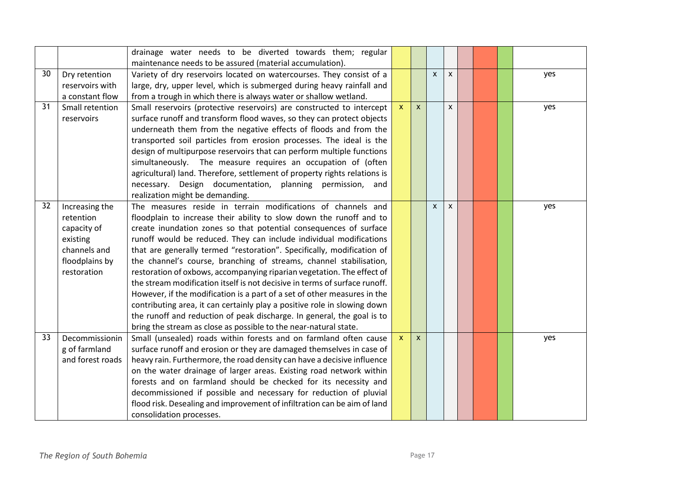|    |                  | drainage water needs to be diverted towards them; regular<br>maintenance needs to be assured (material accumulation). |              |              |              |              |  |     |
|----|------------------|-----------------------------------------------------------------------------------------------------------------------|--------------|--------------|--------------|--------------|--|-----|
| 30 | Dry retention    | Variety of dry reservoirs located on watercourses. They consist of a                                                  |              |              | $\mathsf{x}$ | $\mathsf{x}$ |  | yes |
|    | reservoirs with  | large, dry, upper level, which is submerged during heavy rainfall and                                                 |              |              |              |              |  |     |
|    | a constant flow  | from a trough in which there is always water or shallow wetland.                                                      |              |              |              |              |  |     |
| 31 | Small retention  | Small reservoirs (protective reservoirs) are constructed to intercept                                                 | $\mathbf{x}$ | $\mathsf{x}$ |              | X            |  | yes |
|    | reservoirs       | surface runoff and transform flood waves, so they can protect objects                                                 |              |              |              |              |  |     |
|    |                  | underneath them from the negative effects of floods and from the                                                      |              |              |              |              |  |     |
|    |                  | transported soil particles from erosion processes. The ideal is the                                                   |              |              |              |              |  |     |
|    |                  | design of multipurpose reservoirs that can perform multiple functions                                                 |              |              |              |              |  |     |
|    |                  | simultaneously. The measure requires an occupation of (often                                                          |              |              |              |              |  |     |
|    |                  | agricultural) land. Therefore, settlement of property rights relations is                                             |              |              |              |              |  |     |
|    |                  | necessary. Design documentation, planning permission, and                                                             |              |              |              |              |  |     |
|    |                  | realization might be demanding.                                                                                       |              |              |              |              |  |     |
| 32 | Increasing the   | The measures reside in terrain modifications of channels and                                                          |              |              | $\mathsf{x}$ | $\mathsf{x}$ |  | yes |
|    | retention        | floodplain to increase their ability to slow down the runoff and to                                                   |              |              |              |              |  |     |
|    | capacity of      | create inundation zones so that potential consequences of surface                                                     |              |              |              |              |  |     |
|    | existing         | runoff would be reduced. They can include individual modifications                                                    |              |              |              |              |  |     |
|    | channels and     | that are generally termed "restoration". Specifically, modification of                                                |              |              |              |              |  |     |
|    | floodplains by   | the channel's course, branching of streams, channel stabilisation,                                                    |              |              |              |              |  |     |
|    | restoration      | restoration of oxbows, accompanying riparian vegetation. The effect of                                                |              |              |              |              |  |     |
|    |                  | the stream modification itself is not decisive in terms of surface runoff.                                            |              |              |              |              |  |     |
|    |                  | However, if the modification is a part of a set of other measures in the                                              |              |              |              |              |  |     |
|    |                  | contributing area, it can certainly play a positive role in slowing down                                              |              |              |              |              |  |     |
|    |                  | the runoff and reduction of peak discharge. In general, the goal is to                                                |              |              |              |              |  |     |
|    |                  | bring the stream as close as possible to the near-natural state.                                                      |              |              |              |              |  |     |
| 33 | Decommissionin   | Small (unsealed) roads within forests and on farmland often cause                                                     | $\mathsf{x}$ | $\mathsf{x}$ |              |              |  | yes |
|    | g of farmland    | surface runoff and erosion or they are damaged themselves in case of                                                  |              |              |              |              |  |     |
|    | and forest roads | heavy rain. Furthermore, the road density can have a decisive influence                                               |              |              |              |              |  |     |
|    |                  | on the water drainage of larger areas. Existing road network within                                                   |              |              |              |              |  |     |
|    |                  | forests and on farmland should be checked for its necessity and                                                       |              |              |              |              |  |     |
|    |                  | decommissioned if possible and necessary for reduction of pluvial                                                     |              |              |              |              |  |     |
|    |                  | flood risk. Desealing and improvement of infiltration can be aim of land                                              |              |              |              |              |  |     |
|    |                  | consolidation processes.                                                                                              |              |              |              |              |  |     |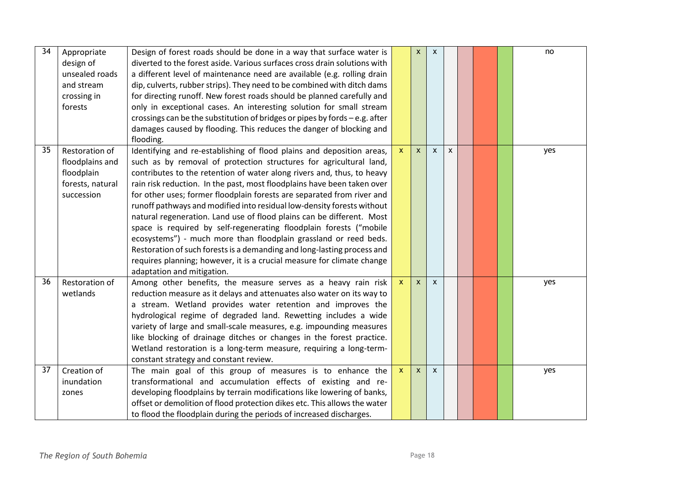| 34 | Appropriate<br>design of<br>unsealed roads<br>and stream<br>crossing in<br>forests | Design of forest roads should be done in a way that surface water is<br>diverted to the forest aside. Various surfaces cross drain solutions with<br>a different level of maintenance need are available (e.g. rolling drain<br>dip, culverts, rubber strips). They need to be combined with ditch dams<br>for directing runoff. New forest roads should be planned carefully and<br>only in exceptional cases. An interesting solution for small stream<br>crossings can be the substitution of bridges or pipes by fords - e.g. after<br>damages caused by flooding. This reduces the danger of blocking and<br>flooding.                                                                                                                                                                                                                                |                           | $\mathsf{x}$ | $\mathsf{x}$              |              |  | no  |
|----|------------------------------------------------------------------------------------|------------------------------------------------------------------------------------------------------------------------------------------------------------------------------------------------------------------------------------------------------------------------------------------------------------------------------------------------------------------------------------------------------------------------------------------------------------------------------------------------------------------------------------------------------------------------------------------------------------------------------------------------------------------------------------------------------------------------------------------------------------------------------------------------------------------------------------------------------------|---------------------------|--------------|---------------------------|--------------|--|-----|
| 35 | Restoration of<br>floodplains and<br>floodplain<br>forests, natural<br>succession  | Identifying and re-establishing of flood plains and deposition areas,<br>such as by removal of protection structures for agricultural land,<br>contributes to the retention of water along rivers and, thus, to heavy<br>rain risk reduction. In the past, most floodplains have been taken over<br>for other uses; former floodplain forests are separated from river and<br>runoff pathways and modified into residual low-density forests without<br>natural regeneration. Land use of flood plains can be different. Most<br>space is required by self-regenerating floodplain forests ("mobile<br>ecosystems") - much more than floodplain grassland or reed beds.<br>Restoration of such forests is a demanding and long-lasting process and<br>requires planning; however, it is a crucial measure for climate change<br>adaptation and mitigation. | $\mathsf{x}$              | $\mathsf{x}$ | $\mathsf{x}$              | $\mathsf{x}$ |  | yes |
| 36 | Restoration of<br>wetlands                                                         | Among other benefits, the measure serves as a heavy rain risk<br>reduction measure as it delays and attenuates also water on its way to<br>a stream. Wetland provides water retention and improves the<br>hydrological regime of degraded land. Rewetting includes a wide<br>variety of large and small-scale measures, e.g. impounding measures<br>like blocking of drainage ditches or changes in the forest practice.<br>Wetland restoration is a long-term measure, requiring a long-term-<br>constant strategy and constant review.                                                                                                                                                                                                                                                                                                                   | $\mathsf{x}$              | $\mathsf{x}$ | $\mathsf{x}$              |              |  | yes |
| 37 | Creation of<br>inundation<br>zones                                                 | The main goal of this group of measures is to enhance the<br>transformational and accumulation effects of existing and re-<br>developing floodplains by terrain modifications like lowering of banks,<br>offset or demolition of flood protection dikes etc. This allows the water<br>to flood the floodplain during the periods of increased discharges.                                                                                                                                                                                                                                                                                                                                                                                                                                                                                                  | $\boldsymbol{\mathsf{x}}$ | $\mathsf{x}$ | $\boldsymbol{\mathsf{x}}$ |              |  | yes |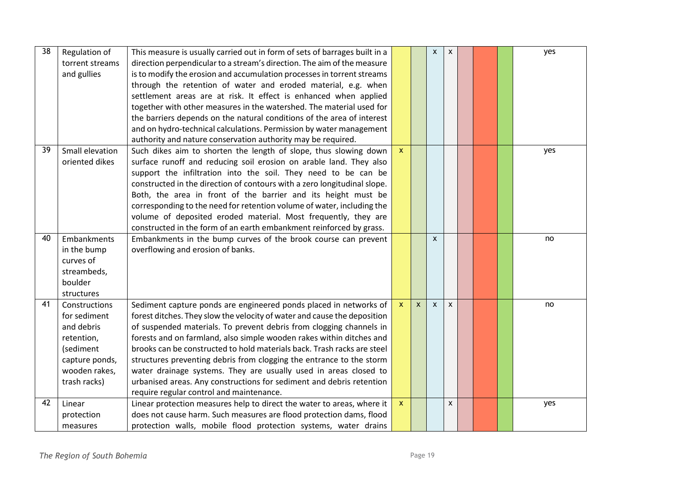| 38 | Regulation of<br>torrent streams<br>and gullies                                                                           | This measure is usually carried out in form of sets of barrages built in a<br>direction perpendicular to a stream's direction. The aim of the measure<br>is to modify the erosion and accumulation processes in torrent streams<br>through the retention of water and eroded material, e.g. when<br>settlement areas are at risk. It effect is enhanced when applied<br>together with other measures in the watershed. The material used for<br>the barriers depends on the natural conditions of the area of interest<br>and on hydro-technical calculations. Permission by water management<br>authority and nature conservation authority may be required. |                           |              | $\pmb{\chi}$              | $\pmb{\chi}$ |  | yes |
|----|---------------------------------------------------------------------------------------------------------------------------|---------------------------------------------------------------------------------------------------------------------------------------------------------------------------------------------------------------------------------------------------------------------------------------------------------------------------------------------------------------------------------------------------------------------------------------------------------------------------------------------------------------------------------------------------------------------------------------------------------------------------------------------------------------|---------------------------|--------------|---------------------------|--------------|--|-----|
| 39 | Small elevation<br>oriented dikes                                                                                         | Such dikes aim to shorten the length of slope, thus slowing down<br>surface runoff and reducing soil erosion on arable land. They also<br>support the infiltration into the soil. They need to be can be<br>constructed in the direction of contours with a zero longitudinal slope.<br>Both, the area in front of the barrier and its height must be<br>corresponding to the need for retention volume of water, including the<br>volume of deposited eroded material. Most frequently, they are<br>constructed in the form of an earth embankment reinforced by grass.                                                                                      | $\mathbf{x}$              |              |                           |              |  | yes |
| 40 | Embankments<br>in the bump<br>curves of<br>streambeds,<br>boulder<br>structures                                           | Embankments in the bump curves of the brook course can prevent<br>overflowing and erosion of banks.                                                                                                                                                                                                                                                                                                                                                                                                                                                                                                                                                           |                           |              | $\boldsymbol{\mathsf{x}}$ |              |  | no  |
| 41 | Constructions<br>for sediment<br>and debris<br>retention,<br>(sediment<br>capture ponds,<br>wooden rakes,<br>trash racks) | Sediment capture ponds are engineered ponds placed in networks of<br>forest ditches. They slow the velocity of water and cause the deposition<br>of suspended materials. To prevent debris from clogging channels in<br>forests and on farmland, also simple wooden rakes within ditches and<br>brooks can be constructed to hold materials back. Trash racks are steel<br>structures preventing debris from clogging the entrance to the storm<br>water drainage systems. They are usually used in areas closed to<br>urbanised areas. Any constructions for sediment and debris retention<br>require regular control and maintenance.                       | $\boldsymbol{\mathsf{x}}$ | $\mathsf{x}$ | $\mathsf{x}$              | X            |  | no  |
| 42 | Linear<br>protection<br>measures                                                                                          | Linear protection measures help to direct the water to areas, where it<br>does not cause harm. Such measures are flood protection dams, flood<br>protection walls, mobile flood protection systems, water drains                                                                                                                                                                                                                                                                                                                                                                                                                                              | $\mathbf{x}$              |              |                           | X            |  | yes |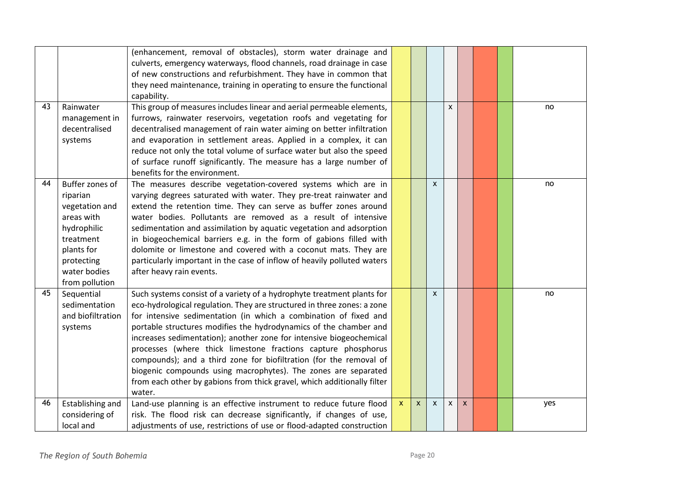|    |                                                                                                                                                       | (enhancement, removal of obstacles), storm water drainage and<br>culverts, emergency waterways, flood channels, road drainage in case<br>of new constructions and refurbishment. They have in common that<br>they need maintenance, training in operating to ensure the functional<br>capability.                                                                                                                                                                                                                                                                                                                                                               |                           |              |              |                |                           |  |     |
|----|-------------------------------------------------------------------------------------------------------------------------------------------------------|-----------------------------------------------------------------------------------------------------------------------------------------------------------------------------------------------------------------------------------------------------------------------------------------------------------------------------------------------------------------------------------------------------------------------------------------------------------------------------------------------------------------------------------------------------------------------------------------------------------------------------------------------------------------|---------------------------|--------------|--------------|----------------|---------------------------|--|-----|
| 43 | Rainwater<br>management in<br>decentralised<br>systems                                                                                                | This group of measures includes linear and aerial permeable elements,<br>furrows, rainwater reservoirs, vegetation roofs and vegetating for<br>decentralised management of rain water aiming on better infiltration<br>and evaporation in settlement areas. Applied in a complex, it can<br>reduce not only the total volume of surface water but also the speed<br>of surface runoff significantly. The measure has a large number of<br>benefits for the environment.                                                                                                                                                                                         |                           |              |              | $\pmb{\times}$ |                           |  | no  |
| 44 | Buffer zones of<br>riparian<br>vegetation and<br>areas with<br>hydrophilic<br>treatment<br>plants for<br>protecting<br>water bodies<br>from pollution | The measures describe vegetation-covered systems which are in<br>varying degrees saturated with water. They pre-treat rainwater and<br>extend the retention time. They can serve as buffer zones around<br>water bodies. Pollutants are removed as a result of intensive<br>sedimentation and assimilation by aquatic vegetation and adsorption<br>in biogeochemical barriers e.g. in the form of gabions filled with<br>dolomite or limestone and covered with a coconut mats. They are<br>particularly important in the case of inflow of heavily polluted waters<br>after heavy rain events.                                                                 |                           |              | $\mathsf{x}$ |                |                           |  | no  |
| 45 | Sequential<br>sedimentation<br>and biofiltration<br>systems                                                                                           | Such systems consist of a variety of a hydrophyte treatment plants for<br>eco-hydrological regulation. They are structured in three zones: a zone<br>for intensive sedimentation (in which a combination of fixed and<br>portable structures modifies the hydrodynamics of the chamber and<br>increases sedimentation); another zone for intensive biogeochemical<br>processes (where thick limestone fractions capture phosphorus<br>compounds); and a third zone for biofiltration (for the removal of<br>biogenic compounds using macrophytes). The zones are separated<br>from each other by gabions from thick gravel, which additionally filter<br>water. |                           |              | $\mathsf{x}$ |                |                           |  | no  |
| 46 | Establishing and<br>considering of<br>local and                                                                                                       | Land-use planning is an effective instrument to reduce future flood<br>risk. The flood risk can decrease significantly, if changes of use,<br>adjustments of use, restrictions of use or flood-adapted construction                                                                                                                                                                                                                                                                                                                                                                                                                                             | $\boldsymbol{\mathsf{X}}$ | $\mathsf{x}$ | $\mathsf{x}$ | X              | $\boldsymbol{\mathsf{X}}$ |  | yes |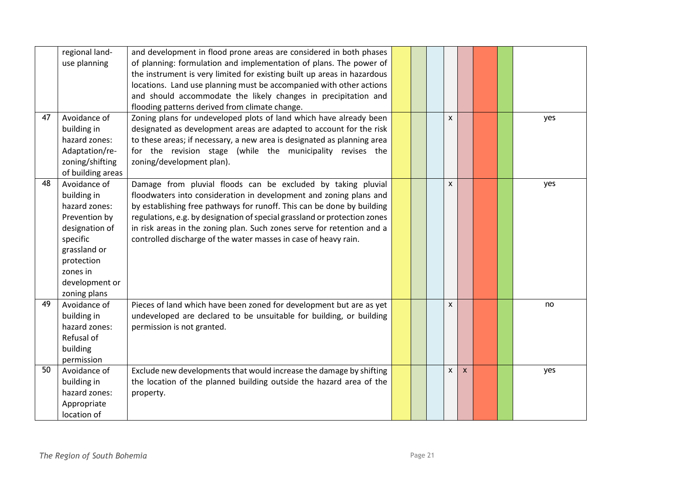|    | regional land-<br>use planning                                                                                                                                          | and development in flood prone areas are considered in both phases<br>of planning: formulation and implementation of plans. The power of<br>the instrument is very limited for existing built up areas in hazardous<br>locations. Land use planning must be accompanied with other actions                                                                                                                                             |  |   |                           |  |     |
|----|-------------------------------------------------------------------------------------------------------------------------------------------------------------------------|----------------------------------------------------------------------------------------------------------------------------------------------------------------------------------------------------------------------------------------------------------------------------------------------------------------------------------------------------------------------------------------------------------------------------------------|--|---|---------------------------|--|-----|
|    |                                                                                                                                                                         | and should accommodate the likely changes in precipitation and<br>flooding patterns derived from climate change.                                                                                                                                                                                                                                                                                                                       |  |   |                           |  |     |
| 47 | Avoidance of<br>building in<br>hazard zones:<br>Adaptation/re-<br>zoning/shifting<br>of building areas                                                                  | Zoning plans for undeveloped plots of land which have already been<br>designated as development areas are adapted to account for the risk<br>to these areas; if necessary, a new area is designated as planning area<br>for the revision stage (while the municipality revises the<br>zoning/development plan).                                                                                                                        |  | x |                           |  | yes |
| 48 | Avoidance of<br>building in<br>hazard zones:<br>Prevention by<br>designation of<br>specific<br>grassland or<br>protection<br>zones in<br>development or<br>zoning plans | Damage from pluvial floods can be excluded by taking pluvial<br>floodwaters into consideration in development and zoning plans and<br>by establishing free pathways for runoff. This can be done by building<br>regulations, e.g. by designation of special grassland or protection zones<br>in risk areas in the zoning plan. Such zones serve for retention and a<br>controlled discharge of the water masses in case of heavy rain. |  | X |                           |  | yes |
| 49 | Avoidance of<br>building in<br>hazard zones:<br>Refusal of<br>building<br>permission                                                                                    | Pieces of land which have been zoned for development but are as yet<br>undeveloped are declared to be unsuitable for building, or building<br>permission is not granted.                                                                                                                                                                                                                                                               |  | X |                           |  | no  |
| 50 | Avoidance of<br>building in<br>hazard zones:<br>Appropriate<br>location of                                                                                              | Exclude new developments that would increase the damage by shifting<br>the location of the planned building outside the hazard area of the<br>property.                                                                                                                                                                                                                                                                                |  | X | $\boldsymbol{\mathsf{X}}$ |  | yes |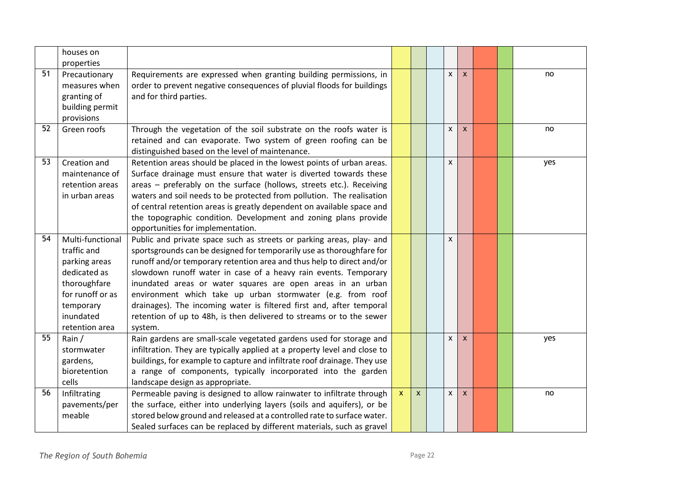|                 | houses on<br>properties                                                                                                                          |                                                                                                                                                                                                                                                                                                                                                                                                                                                                                                                                                                                   |              |              |                |              |  |     |
|-----------------|--------------------------------------------------------------------------------------------------------------------------------------------------|-----------------------------------------------------------------------------------------------------------------------------------------------------------------------------------------------------------------------------------------------------------------------------------------------------------------------------------------------------------------------------------------------------------------------------------------------------------------------------------------------------------------------------------------------------------------------------------|--------------|--------------|----------------|--------------|--|-----|
| $\overline{51}$ | Precautionary<br>measures when<br>granting of<br>building permit<br>provisions                                                                   | Requirements are expressed when granting building permissions, in<br>order to prevent negative consequences of pluvial floods for buildings<br>and for third parties.                                                                                                                                                                                                                                                                                                                                                                                                             |              |              | $\mathsf{x}$   | $\mathsf{x}$ |  | no  |
| 52              | Green roofs                                                                                                                                      | Through the vegetation of the soil substrate on the roofs water is<br>retained and can evaporate. Two system of green roofing can be<br>distinguished based on the level of maintenance.                                                                                                                                                                                                                                                                                                                                                                                          |              |              | X              | $\mathsf{x}$ |  | no  |
| 53              | Creation and<br>maintenance of<br>retention areas<br>in urban areas                                                                              | Retention areas should be placed in the lowest points of urban areas.<br>Surface drainage must ensure that water is diverted towards these<br>areas - preferably on the surface (hollows, streets etc.). Receiving<br>waters and soil needs to be protected from pollution. The realisation<br>of central retention areas is greatly dependent on available space and<br>the topographic condition. Development and zoning plans provide<br>opportunities for implementation.                                                                                                     |              |              | $\mathsf{x}$   |              |  | yes |
| 54              | Multi-functional<br>traffic and<br>parking areas<br>dedicated as<br>thoroughfare<br>for runoff or as<br>temporary<br>inundated<br>retention area | Public and private space such as streets or parking areas, play- and<br>sportsgrounds can be designed for temporarily use as thoroughfare for<br>runoff and/or temporary retention area and thus help to direct and/or<br>slowdown runoff water in case of a heavy rain events. Temporary<br>inundated areas or water squares are open areas in an urban<br>environment which take up urban stormwater (e.g. from roof<br>drainages). The incoming water is filtered first and, after temporal<br>retention of up to 48h, is then delivered to streams or to the sewer<br>system. |              |              | $\pmb{\times}$ |              |  |     |
| 55              | Rain /<br>stormwater<br>gardens,<br>bioretention<br>cells                                                                                        | Rain gardens are small-scale vegetated gardens used for storage and<br>infiltration. They are typically applied at a property level and close to<br>buildings, for example to capture and infiltrate roof drainage. They use<br>a range of components, typically incorporated into the garden<br>landscape design as appropriate.                                                                                                                                                                                                                                                 |              |              | X              | $\mathsf{x}$ |  | yes |
| 56              | Infiltrating<br>pavements/per<br>meable                                                                                                          | Permeable paving is designed to allow rainwater to infiltrate through<br>the surface, either into underlying layers (soils and aquifers), or be<br>stored below ground and released at a controlled rate to surface water.<br>Sealed surfaces can be replaced by different materials, such as gravel                                                                                                                                                                                                                                                                              | $\mathsf{x}$ | $\mathsf{x}$ | X              | $\mathsf{x}$ |  | no  |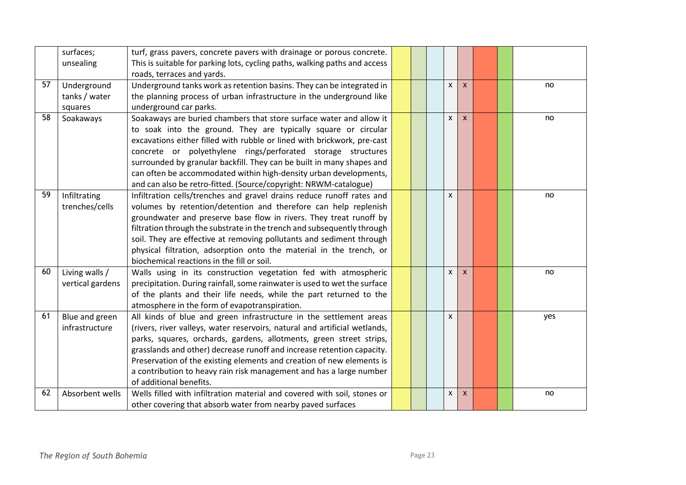|    | surfaces;        | turf, grass pavers, concrete pavers with drainage or porous concrete.      |  |   |                           |  |     |
|----|------------------|----------------------------------------------------------------------------|--|---|---------------------------|--|-----|
|    | unsealing        | This is suitable for parking lots, cycling paths, walking paths and access |  |   |                           |  |     |
|    |                  | roads, terraces and yards.                                                 |  |   |                           |  |     |
| 57 | Underground      | Underground tanks work as retention basins. They can be integrated in      |  | X | $\boldsymbol{\mathsf{X}}$ |  | no  |
|    | tanks / water    | the planning process of urban infrastructure in the underground like       |  |   |                           |  |     |
|    | squares          | underground car parks.                                                     |  |   |                           |  |     |
| 58 | Soakaways        | Soakaways are buried chambers that store surface water and allow it        |  | X | $\mathsf{x}$              |  | no  |
|    |                  | to soak into the ground. They are typically square or circular             |  |   |                           |  |     |
|    |                  | excavations either filled with rubble or lined with brickwork, pre-cast    |  |   |                           |  |     |
|    |                  | concrete or polyethylene rings/perforated storage structures               |  |   |                           |  |     |
|    |                  | surrounded by granular backfill. They can be built in many shapes and      |  |   |                           |  |     |
|    |                  | can often be accommodated within high-density urban developments,          |  |   |                           |  |     |
|    |                  | and can also be retro-fitted. (Source/copyright: NRWM-catalogue)           |  |   |                           |  |     |
| 59 | Infiltrating     | Infiltration cells/trenches and gravel drains reduce runoff rates and      |  | X |                           |  | no  |
|    | trenches/cells   | volumes by retention/detention and therefore can help replenish            |  |   |                           |  |     |
|    |                  | groundwater and preserve base flow in rivers. They treat runoff by         |  |   |                           |  |     |
|    |                  | filtration through the substrate in the trench and subsequently through    |  |   |                           |  |     |
|    |                  | soil. They are effective at removing pollutants and sediment through       |  |   |                           |  |     |
|    |                  | physical filtration, adsorption onto the material in the trench, or        |  |   |                           |  |     |
|    |                  | biochemical reactions in the fill or soil.                                 |  |   |                           |  |     |
| 60 | Living walls /   | Walls using in its construction vegetation fed with atmospheric            |  | X | X                         |  | no  |
|    | vertical gardens | precipitation. During rainfall, some rainwater is used to wet the surface  |  |   |                           |  |     |
|    |                  |                                                                            |  |   |                           |  |     |
|    |                  | of the plants and their life needs, while the part returned to the         |  |   |                           |  |     |
|    |                  | atmosphere in the form of evapotranspiration.                              |  |   |                           |  |     |
| 61 | Blue and green   | All kinds of blue and green infrastructure in the settlement areas         |  | X |                           |  | yes |
|    | infrastructure   | (rivers, river valleys, water reservoirs, natural and artificial wetlands, |  |   |                           |  |     |
|    |                  | parks, squares, orchards, gardens, allotments, green street strips,        |  |   |                           |  |     |
|    |                  | grasslands and other) decrease runoff and increase retention capacity.     |  |   |                           |  |     |
|    |                  | Preservation of the existing elements and creation of new elements is      |  |   |                           |  |     |
|    |                  | a contribution to heavy rain risk management and has a large number        |  |   |                           |  |     |
|    |                  | of additional benefits.                                                    |  |   |                           |  |     |
| 62 | Absorbent wells  | Wells filled with infiltration material and covered with soil, stones or   |  | x | X                         |  | no  |
|    |                  | other covering that absorb water from nearby paved surfaces                |  |   |                           |  |     |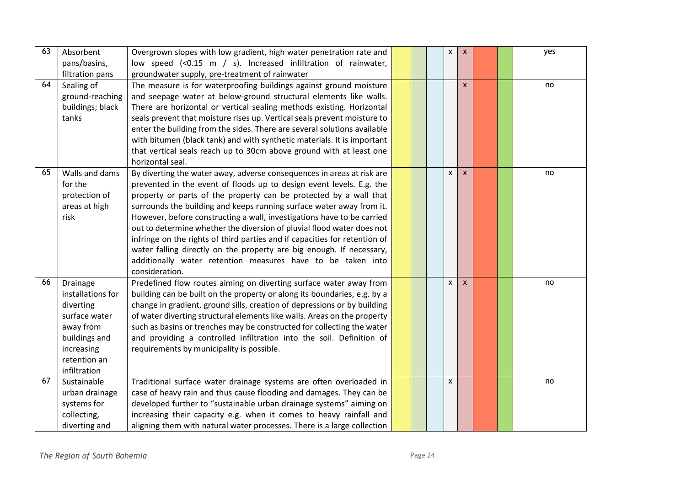| 63 | Absorbent<br>pans/basins, | Overgrown slopes with low gradient, high water penetration rate and<br>low speed (<0.15 m / s). Increased infiltration of rainwater, |  | $\pmb{\mathsf{x}}$ | $\pmb{\times}$ |  | yes |
|----|---------------------------|--------------------------------------------------------------------------------------------------------------------------------------|--|--------------------|----------------|--|-----|
|    | filtration pans           | groundwater supply, pre-treatment of rainwater                                                                                       |  |                    |                |  |     |
| 64 | Sealing of                | The measure is for waterproofing buildings against ground moisture                                                                   |  |                    | $\pmb{\times}$ |  | no  |
|    | ground-reaching           | and seepage water at below-ground structural elements like walls.                                                                    |  |                    |                |  |     |
|    | buildings; black          | There are horizontal or vertical sealing methods existing. Horizontal                                                                |  |                    |                |  |     |
|    | tanks                     | seals prevent that moisture rises up. Vertical seals prevent moisture to                                                             |  |                    |                |  |     |
|    |                           | enter the building from the sides. There are several solutions available                                                             |  |                    |                |  |     |
|    |                           | with bitumen (black tank) and with synthetic materials. It is important                                                              |  |                    |                |  |     |
|    |                           | that vertical seals reach up to 30cm above ground with at least one                                                                  |  |                    |                |  |     |
|    |                           | horizontal seal.                                                                                                                     |  |                    |                |  |     |
| 65 | Walls and dams            | By diverting the water away, adverse consequences in areas at risk are                                                               |  | $\mathsf{x}$       | $\mathsf{x}$   |  | no  |
|    | for the                   | prevented in the event of floods up to design event levels. E.g. the                                                                 |  |                    |                |  |     |
|    | protection of             | property or parts of the property can be protected by a wall that                                                                    |  |                    |                |  |     |
|    | areas at high             | surrounds the building and keeps running surface water away from it.                                                                 |  |                    |                |  |     |
|    | risk                      | However, before constructing a wall, investigations have to be carried                                                               |  |                    |                |  |     |
|    |                           | out to determine whether the diversion of pluvial flood water does not                                                               |  |                    |                |  |     |
|    |                           | infringe on the rights of third parties and if capacities for retention of                                                           |  |                    |                |  |     |
|    |                           | water falling directly on the property are big enough. If necessary,                                                                 |  |                    |                |  |     |
|    |                           | additionally water retention measures have to be taken into                                                                          |  |                    |                |  |     |
|    |                           | consideration.                                                                                                                       |  |                    |                |  |     |
| 66 | Drainage                  | Predefined flow routes aiming on diverting surface water away from                                                                   |  | $\mathsf{x}$       | $\pmb{\times}$ |  | no  |
|    | installations for         | building can be built on the property or along its boundaries, e.g. by a                                                             |  |                    |                |  |     |
|    | diverting                 | change in gradient, ground sills, creation of depressions or by building                                                             |  |                    |                |  |     |
|    | surface water             | of water diverting structural elements like walls. Areas on the property                                                             |  |                    |                |  |     |
|    | away from                 | such as basins or trenches may be constructed for collecting the water                                                               |  |                    |                |  |     |
|    | buildings and             | and providing a controlled infiltration into the soil. Definition of                                                                 |  |                    |                |  |     |
|    | increasing                | requirements by municipality is possible.                                                                                            |  |                    |                |  |     |
|    | retention an              |                                                                                                                                      |  |                    |                |  |     |
|    | infiltration              |                                                                                                                                      |  |                    |                |  |     |
| 67 | Sustainable               | Traditional surface water drainage systems are often overloaded in                                                                   |  | $\mathsf{x}$       |                |  | no  |
|    | urban drainage            | case of heavy rain and thus cause flooding and damages. They can be                                                                  |  |                    |                |  |     |
|    | systems for               | developed further to "sustainable urban drainage systems" aiming on                                                                  |  |                    |                |  |     |
|    | collecting,               | increasing their capacity e.g. when it comes to heavy rainfall and                                                                   |  |                    |                |  |     |
|    | diverting and             | aligning them with natural water processes. There is a large collection                                                              |  |                    |                |  |     |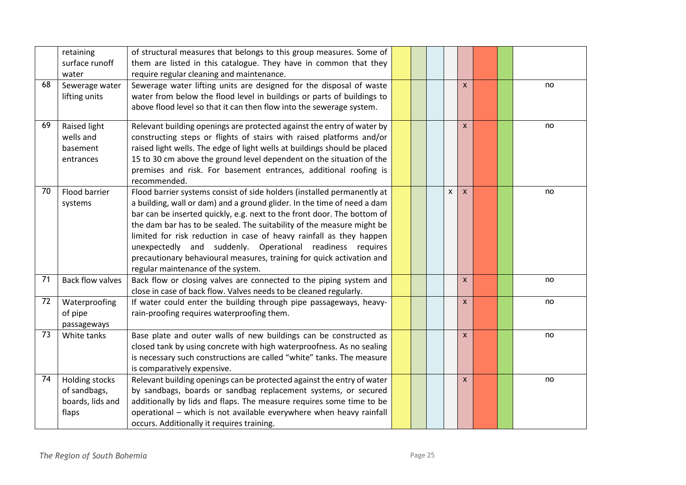|    | retaining<br>surface runoff<br>water                               | of structural measures that belongs to this group measures. Some of<br>them are listed in this catalogue. They have in common that they<br>require regular cleaning and maintenance.                                                                                                                                                                                                                                                                                                                                                                      |  |                              |  |    |
|----|--------------------------------------------------------------------|-----------------------------------------------------------------------------------------------------------------------------------------------------------------------------------------------------------------------------------------------------------------------------------------------------------------------------------------------------------------------------------------------------------------------------------------------------------------------------------------------------------------------------------------------------------|--|------------------------------|--|----|
| 68 | Sewerage water<br>lifting units                                    | Sewerage water lifting units are designed for the disposal of waste<br>water from below the flood level in buildings or parts of buildings to<br>above flood level so that it can then flow into the sewerage system.                                                                                                                                                                                                                                                                                                                                     |  | $\pmb{\times}$               |  | no |
| 69 | Raised light<br>wells and<br>basement<br>entrances                 | Relevant building openings are protected against the entry of water by<br>constructing steps or flights of stairs with raised platforms and/or<br>raised light wells. The edge of light wells at buildings should be placed<br>15 to 30 cm above the ground level dependent on the situation of the<br>premises and risk. For basement entrances, additional roofing is<br>recommended.                                                                                                                                                                   |  | $\pmb{\times}$               |  | no |
| 70 | Flood barrier<br>systems                                           | Flood barrier systems consist of side holders (installed permanently at<br>a building, wall or dam) and a ground glider. In the time of need a dam<br>bar can be inserted quickly, e.g. next to the front door. The bottom of<br>the dam bar has to be sealed. The suitability of the measure might be<br>limited for risk reduction in case of heavy rainfall as they happen<br>unexpectedly and suddenly. Operational readiness requires<br>precautionary behavioural measures, training for quick activation and<br>regular maintenance of the system. |  | $\mathsf{x}$<br>$\mathsf{x}$ |  | no |
| 71 | <b>Back flow valves</b>                                            | Back flow or closing valves are connected to the piping system and<br>close in case of back flow. Valves needs to be cleaned regularly.                                                                                                                                                                                                                                                                                                                                                                                                                   |  | $\pmb{\times}$               |  | no |
| 72 | Waterproofing<br>of pipe<br>passageways                            | If water could enter the building through pipe passageways, heavy-<br>rain-proofing requires waterproofing them.                                                                                                                                                                                                                                                                                                                                                                                                                                          |  | $\mathsf{x}$                 |  | no |
| 73 | White tanks                                                        | Base plate and outer walls of new buildings can be constructed as<br>closed tank by using concrete with high waterproofness. As no sealing<br>is necessary such constructions are called "white" tanks. The measure<br>is comparatively expensive.                                                                                                                                                                                                                                                                                                        |  | $\mathsf{x}$                 |  | no |
| 74 | <b>Holding stocks</b><br>of sandbags,<br>boards, lids and<br>flaps | Relevant building openings can be protected against the entry of water<br>by sandbags, boards or sandbag replacement systems, or secured<br>additionally by lids and flaps. The measure requires some time to be<br>operational - which is not available everywhere when heavy rainfall<br>occurs. Additionally it requires training.                                                                                                                                                                                                                     |  | $\pmb{\mathsf{x}}$           |  | no |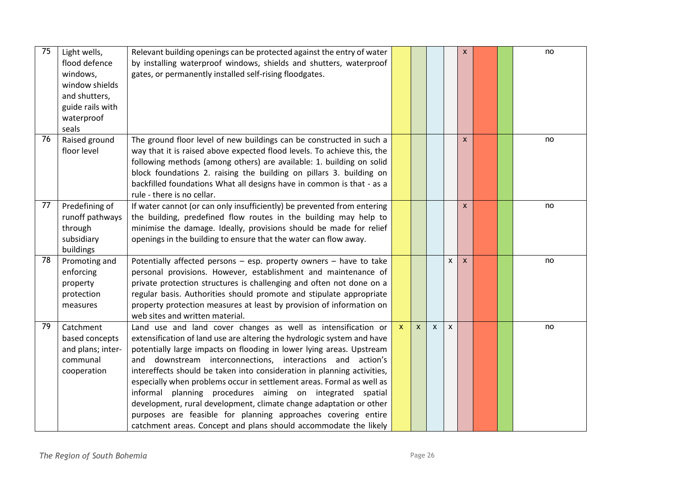| 75 | Light wells,<br>flood defence<br>windows,<br>window shields<br>and shutters,<br>guide rails with<br>waterproof<br>seals | Relevant building openings can be protected against the entry of water<br>by installing waterproof windows, shields and shutters, waterproof<br>gates, or permanently installed self-rising floodgates.                                                                                                                                                                                                                                                                                                                                                                                                                                                                                                       |              |              |              |   | $\pmb{\times}$ |  | no |
|----|-------------------------------------------------------------------------------------------------------------------------|---------------------------------------------------------------------------------------------------------------------------------------------------------------------------------------------------------------------------------------------------------------------------------------------------------------------------------------------------------------------------------------------------------------------------------------------------------------------------------------------------------------------------------------------------------------------------------------------------------------------------------------------------------------------------------------------------------------|--------------|--------------|--------------|---|----------------|--|----|
| 76 | Raised ground<br>floor level                                                                                            | The ground floor level of new buildings can be constructed in such a<br>way that it is raised above expected flood levels. To achieve this, the<br>following methods (among others) are available: 1. building on solid<br>block foundations 2. raising the building on pillars 3. building on<br>backfilled foundations What all designs have in common is that - as a<br>rule - there is no cellar.                                                                                                                                                                                                                                                                                                         |              |              |              |   | X              |  | no |
| 77 | Predefining of<br>runoff pathways<br>through<br>subsidiary<br>buildings                                                 | If water cannot (or can only insufficiently) be prevented from entering<br>the building, predefined flow routes in the building may help to<br>minimise the damage. Ideally, provisions should be made for relief<br>openings in the building to ensure that the water can flow away.                                                                                                                                                                                                                                                                                                                                                                                                                         |              |              |              |   | $\pmb{\times}$ |  | no |
| 78 | Promoting and<br>enforcing<br>property<br>protection<br>measures                                                        | Potentially affected persons - esp. property owners - have to take<br>personal provisions. However, establishment and maintenance of<br>private protection structures is challenging and often not done on a<br>regular basis. Authorities should promote and stipulate appropriate<br>property protection measures at least by provision of information on<br>web sites and written material.                                                                                                                                                                                                                                                                                                                |              |              |              | X | $\mathsf{x}$   |  | no |
| 79 | Catchment<br>based concepts<br>and plans; inter-<br>communal<br>cooperation                                             | Land use and land cover changes as well as intensification or<br>extensification of land use are altering the hydrologic system and have<br>potentially large impacts on flooding in lower lying areas. Upstream<br>downstream interconnections, interactions and action's<br>and<br>intereffects should be taken into consideration in planning activities,<br>especially when problems occur in settlement areas. Formal as well as<br>informal planning procedures aiming on integrated spatial<br>development, rural development, climate change adaptation or other<br>purposes are feasible for planning approaches covering entire<br>catchment areas. Concept and plans should accommodate the likely | $\mathsf{x}$ | $\mathsf{x}$ | $\mathsf{x}$ | X |                |  | no |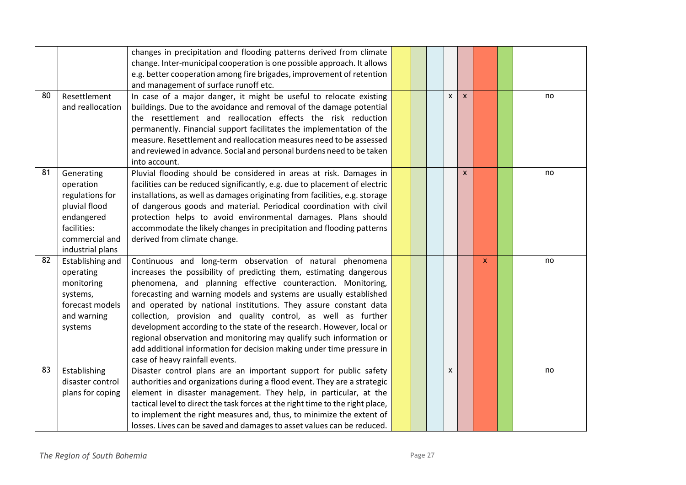| 80 | Resettlement                         | changes in precipitation and flooding patterns derived from climate<br>change. Inter-municipal cooperation is one possible approach. It allows<br>e.g. better cooperation among fire brigades, improvement of retention<br>and management of surface runoff etc.<br>In case of a major danger, it might be useful to relocate existing |  | X | $\mathsf{x}$ |              | no |
|----|--------------------------------------|----------------------------------------------------------------------------------------------------------------------------------------------------------------------------------------------------------------------------------------------------------------------------------------------------------------------------------------|--|---|--------------|--------------|----|
|    | and reallocation                     | buildings. Due to the avoidance and removal of the damage potential                                                                                                                                                                                                                                                                    |  |   |              |              |    |
|    |                                      | the resettlement and reallocation effects the risk reduction<br>permanently. Financial support facilitates the implementation of the                                                                                                                                                                                                   |  |   |              |              |    |
|    |                                      | measure. Resettlement and reallocation measures need to be assessed                                                                                                                                                                                                                                                                    |  |   |              |              |    |
|    |                                      | and reviewed in advance. Social and personal burdens need to be taken<br>into account.                                                                                                                                                                                                                                                 |  |   |              |              |    |
| 81 | Generating                           | Pluvial flooding should be considered in areas at risk. Damages in                                                                                                                                                                                                                                                                     |  |   | X            |              | no |
|    | operation                            | facilities can be reduced significantly, e.g. due to placement of electric                                                                                                                                                                                                                                                             |  |   |              |              |    |
|    | regulations for<br>pluvial flood     | installations, as well as damages originating from facilities, e.g. storage<br>of dangerous goods and material. Periodical coordination with civil                                                                                                                                                                                     |  |   |              |              |    |
|    | endangered                           | protection helps to avoid environmental damages. Plans should                                                                                                                                                                                                                                                                          |  |   |              |              |    |
|    | facilities:                          | accommodate the likely changes in precipitation and flooding patterns                                                                                                                                                                                                                                                                  |  |   |              |              |    |
|    | commercial and                       | derived from climate change.                                                                                                                                                                                                                                                                                                           |  |   |              |              |    |
|    | industrial plans                     |                                                                                                                                                                                                                                                                                                                                        |  |   |              |              |    |
| 82 | Establishing and                     | Continuous and long-term observation of natural phenomena                                                                                                                                                                                                                                                                              |  |   |              | $\mathsf{x}$ | no |
|    | operating                            | increases the possibility of predicting them, estimating dangerous                                                                                                                                                                                                                                                                     |  |   |              |              |    |
|    | monitoring                           | phenomena, and planning effective counteraction. Monitoring,                                                                                                                                                                                                                                                                           |  |   |              |              |    |
|    | systems,<br>forecast models          | forecasting and warning models and systems are usually established<br>and operated by national institutions. They assure constant data                                                                                                                                                                                                 |  |   |              |              |    |
|    | and warning                          | collection, provision and quality control, as well as further                                                                                                                                                                                                                                                                          |  |   |              |              |    |
|    | systems                              | development according to the state of the research. However, local or                                                                                                                                                                                                                                                                  |  |   |              |              |    |
|    |                                      | regional observation and monitoring may qualify such information or                                                                                                                                                                                                                                                                    |  |   |              |              |    |
|    |                                      | add additional information for decision making under time pressure in                                                                                                                                                                                                                                                                  |  |   |              |              |    |
|    |                                      | case of heavy rainfall events.                                                                                                                                                                                                                                                                                                         |  |   |              |              |    |
| 83 | Establishing                         | Disaster control plans are an important support for public safety                                                                                                                                                                                                                                                                      |  | X |              |              | no |
|    | disaster control<br>plans for coping | authorities and organizations during a flood event. They are a strategic                                                                                                                                                                                                                                                               |  |   |              |              |    |
|    |                                      | element in disaster management. They help, in particular, at the<br>tactical level to direct the task forces at the right time to the right place,                                                                                                                                                                                     |  |   |              |              |    |
|    |                                      | to implement the right measures and, thus, to minimize the extent of                                                                                                                                                                                                                                                                   |  |   |              |              |    |
|    |                                      | losses. Lives can be saved and damages to asset values can be reduced.                                                                                                                                                                                                                                                                 |  |   |              |              |    |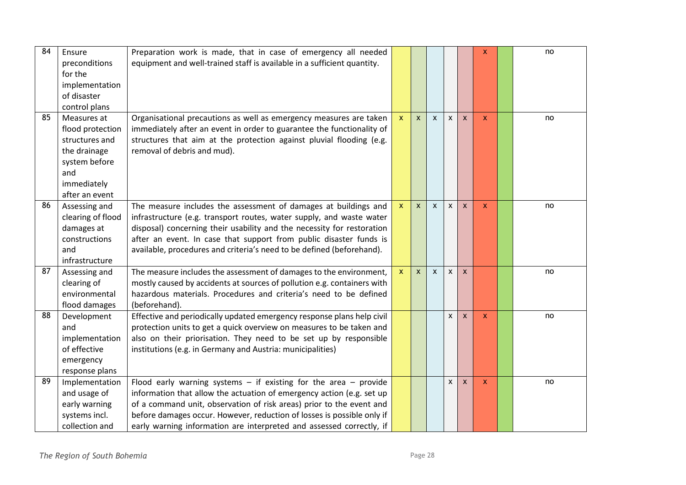| $\overline{84}$ | Ensure<br>preconditions<br>for the<br>implementation<br>of disaster<br>control plans                                       | Preparation work is made, that in case of emergency all needed<br>equipment and well-trained staff is available in a sufficient quantity.                                                                                                                                                                                                                               |                           |              |              |                    |                           | X        | no |
|-----------------|----------------------------------------------------------------------------------------------------------------------------|-------------------------------------------------------------------------------------------------------------------------------------------------------------------------------------------------------------------------------------------------------------------------------------------------------------------------------------------------------------------------|---------------------------|--------------|--------------|--------------------|---------------------------|----------|----|
| 85              | Measures at<br>flood protection<br>structures and<br>the drainage<br>system before<br>and<br>immediately<br>after an event | Organisational precautions as well as emergency measures are taken<br>immediately after an event in order to guarantee the functionality of<br>structures that aim at the protection against pluvial flooding (e.g.<br>removal of debris and mud).                                                                                                                      | $\boldsymbol{\mathsf{x}}$ | X            | $\mathsf{x}$ | X                  | $\boldsymbol{\mathsf{x}}$ | X        | no |
| 86              | Assessing and<br>clearing of flood<br>damages at<br>constructions<br>and<br>infrastructure                                 | The measure includes the assessment of damages at buildings and<br>infrastructure (e.g. transport routes, water supply, and waste water<br>disposal) concerning their usability and the necessity for restoration<br>after an event. In case that support from public disaster funds is<br>available, procedures and criteria's need to be defined (beforehand).        | $\boldsymbol{\mathsf{x}}$ | $\mathsf{x}$ | $\mathsf{x}$ | $\mathsf{x}$       | $\mathsf{x}$              | <b>X</b> | no |
| 87              | Assessing and<br>clearing of<br>environmental<br>flood damages                                                             | The measure includes the assessment of damages to the environment,<br>mostly caused by accidents at sources of pollution e.g. containers with<br>hazardous materials. Procedures and criteria's need to be defined<br>(beforehand).                                                                                                                                     | $\mathbf{x}$              | $\mathsf{x}$ | $\mathsf{x}$ | $\pmb{\mathsf{X}}$ | $\pmb{\times}$            |          | no |
| 88              | Development<br>and<br>implementation<br>of effective<br>emergency<br>response plans                                        | Effective and periodically updated emergency response plans help civil<br>protection units to get a quick overview on measures to be taken and<br>also on their priorisation. They need to be set up by responsible<br>institutions (e.g. in Germany and Austria: municipalities)                                                                                       |                           |              |              | $\mathsf{x}$       | $\pmb{\times}$            | <b>X</b> | no |
| 89              | Implementation<br>and usage of<br>early warning<br>systems incl.<br>collection and                                         | Flood early warning systems $-$ if existing for the area $-$ provide<br>information that allow the actuation of emergency action (e.g. set up<br>of a command unit, observation of risk areas) prior to the event and<br>before damages occur. However, reduction of losses is possible only if<br>early warning information are interpreted and assessed correctly, if |                           |              |              | $\mathsf{x}$       | $\pmb{\times}$            | <b>X</b> | no |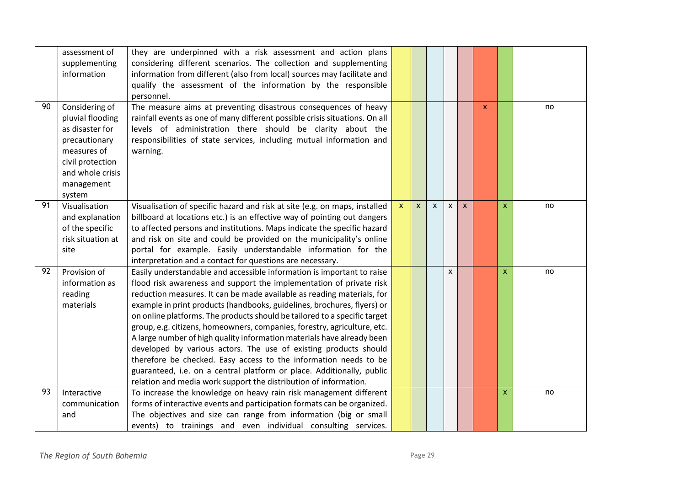|    | assessment of<br>supplementing<br>information                                                                                                         | they are underpinned with a risk assessment and action plans<br>considering different scenarios. The collection and supplementing<br>information from different (also from local) sources may facilitate and<br>qualify the assessment of the information by the responsible<br>personnel.                                                                                                                                                                                                                                                                                                                                                                                                                                                                                                                                 |              |              |              |              |                           |              |              |    |
|----|-------------------------------------------------------------------------------------------------------------------------------------------------------|----------------------------------------------------------------------------------------------------------------------------------------------------------------------------------------------------------------------------------------------------------------------------------------------------------------------------------------------------------------------------------------------------------------------------------------------------------------------------------------------------------------------------------------------------------------------------------------------------------------------------------------------------------------------------------------------------------------------------------------------------------------------------------------------------------------------------|--------------|--------------|--------------|--------------|---------------------------|--------------|--------------|----|
| 90 | Considering of<br>pluvial flooding<br>as disaster for<br>precautionary<br>measures of<br>civil protection<br>and whole crisis<br>management<br>system | The measure aims at preventing disastrous consequences of heavy<br>rainfall events as one of many different possible crisis situations. On all<br>levels of administration there should be clarity about the<br>responsibilities of state services, including mutual information and<br>warning.                                                                                                                                                                                                                                                                                                                                                                                                                                                                                                                           |              |              |              |              |                           | $\mathsf{x}$ |              | no |
| 91 | Visualisation<br>and explanation<br>of the specific<br>risk situation at<br>site                                                                      | Visualisation of specific hazard and risk at site (e.g. on maps, installed<br>billboard at locations etc.) is an effective way of pointing out dangers<br>to affected persons and institutions. Maps indicate the specific hazard<br>and risk on site and could be provided on the municipality's online<br>portal for example. Easily understandable information for the<br>interpretation and a contact for questions are necessary.                                                                                                                                                                                                                                                                                                                                                                                     | $\mathsf{x}$ | $\mathsf{x}$ | $\mathsf{x}$ | $\mathsf{x}$ | $\boldsymbol{\mathsf{x}}$ |              | $\mathsf{x}$ | no |
| 92 | Provision of<br>information as<br>reading<br>materials                                                                                                | Easily understandable and accessible information is important to raise<br>flood risk awareness and support the implementation of private risk<br>reduction measures. It can be made available as reading materials, for<br>example in print products (handbooks, guidelines, brochures, flyers) or<br>on online platforms. The products should be tailored to a specific target<br>group, e.g. citizens, homeowners, companies, forestry, agriculture, etc.<br>A large number of high quality information materials have already been<br>developed by various actors. The use of existing products should<br>therefore be checked. Easy access to the information needs to be<br>guaranteed, i.e. on a central platform or place. Additionally, public<br>relation and media work support the distribution of information. |              |              |              | X            |                           |              | $\mathsf{x}$ | no |
| 93 | Interactive<br>communication<br>and                                                                                                                   | To increase the knowledge on heavy rain risk management different<br>forms of interactive events and participation formats can be organized.<br>The objectives and size can range from information (big or small<br>events) to trainings and even individual consulting services.                                                                                                                                                                                                                                                                                                                                                                                                                                                                                                                                          |              |              |              |              |                           |              | $\mathsf{x}$ | no |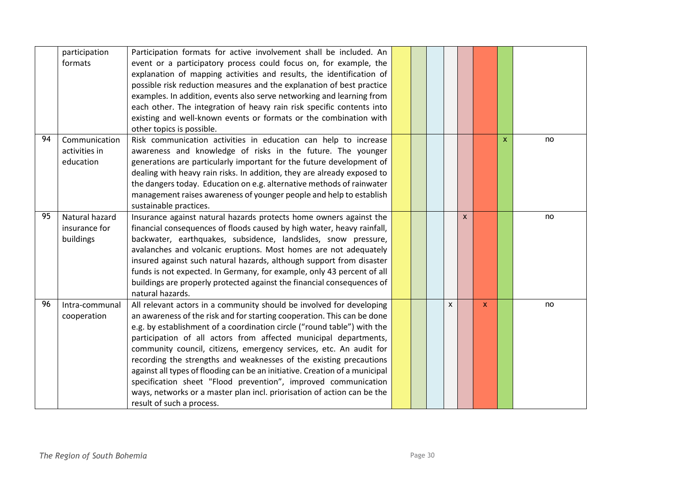|    | participation<br>formats                     | Participation formats for active involvement shall be included. An<br>event or a participatory process could focus on, for example, the<br>explanation of mapping activities and results, the identification of<br>possible risk reduction measures and the explanation of best practice<br>examples. In addition, events also serve networking and learning from<br>each other. The integration of heavy rain risk specific contents into<br>existing and well-known events or formats or the combination with<br>other topics is possible.                                                                                                                                                        |  |   |   |   |              |    |
|----|----------------------------------------------|-----------------------------------------------------------------------------------------------------------------------------------------------------------------------------------------------------------------------------------------------------------------------------------------------------------------------------------------------------------------------------------------------------------------------------------------------------------------------------------------------------------------------------------------------------------------------------------------------------------------------------------------------------------------------------------------------------|--|---|---|---|--------------|----|
| 94 | Communication<br>activities in<br>education  | Risk communication activities in education can help to increase<br>awareness and knowledge of risks in the future. The younger<br>generations are particularly important for the future development of<br>dealing with heavy rain risks. In addition, they are already exposed to<br>the dangers today. Education on e.g. alternative methods of rainwater<br>management raises awareness of younger people and help to establish<br>sustainable practices.                                                                                                                                                                                                                                         |  |   |   |   | $\mathsf{x}$ | no |
| 95 | Natural hazard<br>insurance for<br>buildings | Insurance against natural hazards protects home owners against the<br>financial consequences of floods caused by high water, heavy rainfall,<br>backwater, earthquakes, subsidence, landslides, snow pressure,<br>avalanches and volcanic eruptions. Most homes are not adequately<br>insured against such natural hazards, although support from disaster<br>funds is not expected. In Germany, for example, only 43 percent of all<br>buildings are properly protected against the financial consequences of<br>natural hazards.                                                                                                                                                                  |  |   | X |   |              | no |
| 96 | Intra-communal<br>cooperation                | All relevant actors in a community should be involved for developing<br>an awareness of the risk and for starting cooperation. This can be done<br>e.g. by establishment of a coordination circle ("round table") with the<br>participation of all actors from affected municipal departments,<br>community council, citizens, emergency services, etc. An audit for<br>recording the strengths and weaknesses of the existing precautions<br>against all types of flooding can be an initiative. Creation of a municipal<br>specification sheet "Flood prevention", improved communication<br>ways, networks or a master plan incl. priorisation of action can be the<br>result of such a process. |  | X |   | X |              | no |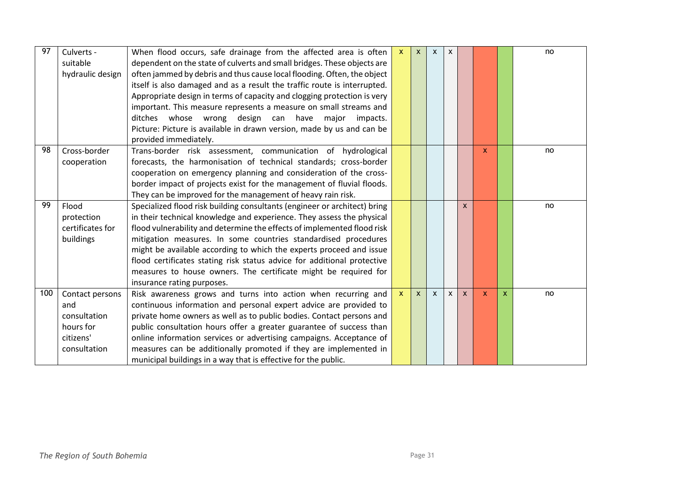| 97  | Culverts -       | When flood occurs, safe drainage from the affected area is often          | $\boldsymbol{\mathsf{x}}$ | $\mathsf{x}$ | $\mathsf{x}$ | X |                           |   |              | no |
|-----|------------------|---------------------------------------------------------------------------|---------------------------|--------------|--------------|---|---------------------------|---|--------------|----|
|     | suitable         | dependent on the state of culverts and small bridges. These objects are   |                           |              |              |   |                           |   |              |    |
|     | hydraulic design | often jammed by debris and thus cause local flooding. Often, the object   |                           |              |              |   |                           |   |              |    |
|     |                  | itself is also damaged and as a result the traffic route is interrupted.  |                           |              |              |   |                           |   |              |    |
|     |                  | Appropriate design in terms of capacity and clogging protection is very   |                           |              |              |   |                           |   |              |    |
|     |                  | important. This measure represents a measure on small streams and         |                           |              |              |   |                           |   |              |    |
|     |                  | ditches whose wrong design can have major<br>impacts.                     |                           |              |              |   |                           |   |              |    |
|     |                  | Picture: Picture is available in drawn version, made by us and can be     |                           |              |              |   |                           |   |              |    |
|     |                  | provided immediately.                                                     |                           |              |              |   |                           |   |              |    |
| 98  | Cross-border     | Trans-border risk assessment, communication of hydrological               |                           |              |              |   |                           | X |              | no |
|     | cooperation      | forecasts, the harmonisation of technical standards; cross-border         |                           |              |              |   |                           |   |              |    |
|     |                  | cooperation on emergency planning and consideration of the cross-         |                           |              |              |   |                           |   |              |    |
|     |                  | border impact of projects exist for the management of fluvial floods.     |                           |              |              |   |                           |   |              |    |
|     |                  | They can be improved for the management of heavy rain risk.               |                           |              |              |   |                           |   |              |    |
| 99  | Flood            | Specialized flood risk building consultants (engineer or architect) bring |                           |              |              |   | $\boldsymbol{\mathsf{x}}$ |   |              | no |
|     | protection       | in their technical knowledge and experience. They assess the physical     |                           |              |              |   |                           |   |              |    |
|     | certificates for | flood vulnerability and determine the effects of implemented flood risk   |                           |              |              |   |                           |   |              |    |
|     | buildings        | mitigation measures. In some countries standardised procedures            |                           |              |              |   |                           |   |              |    |
|     |                  | might be available according to which the experts proceed and issue       |                           |              |              |   |                           |   |              |    |
|     |                  | flood certificates stating risk status advice for additional protective   |                           |              |              |   |                           |   |              |    |
|     |                  | measures to house owners. The certificate might be required for           |                           |              |              |   |                           |   |              |    |
|     |                  | insurance rating purposes.                                                |                           |              |              |   |                           |   |              |    |
| 100 | Contact persons  | Risk awareness grows and turns into action when recurring and             | $\mathsf{x}$              | $\mathsf{x}$ | $\mathsf{x}$ | X | $\mathsf{x}$              | X | $\mathsf{x}$ | no |
|     | and              | continuous information and personal expert advice are provided to         |                           |              |              |   |                           |   |              |    |
|     | consultation     | private home owners as well as to public bodies. Contact persons and      |                           |              |              |   |                           |   |              |    |
|     | hours for        | public consultation hours offer a greater guarantee of success than       |                           |              |              |   |                           |   |              |    |
|     | citizens'        | online information services or advertising campaigns. Acceptance of       |                           |              |              |   |                           |   |              |    |
|     | consultation     | measures can be additionally promoted if they are implemented in          |                           |              |              |   |                           |   |              |    |
|     |                  | municipal buildings in a way that is effective for the public.            |                           |              |              |   |                           |   |              |    |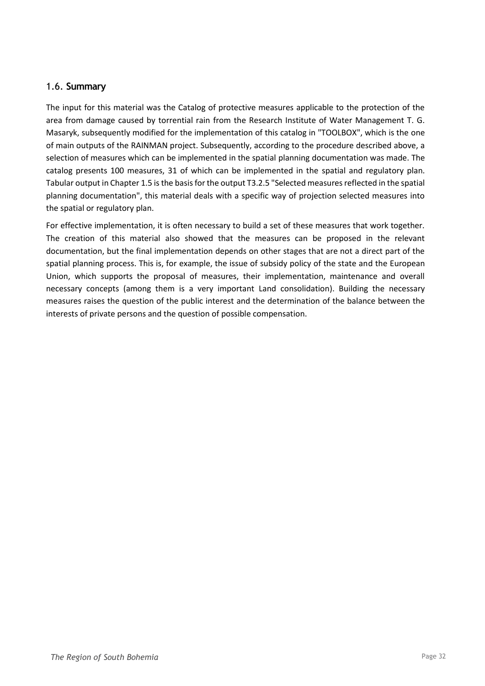#### <span id="page-31-0"></span>1.6. **Summary**

The input for this material was the Catalog of protective measures applicable to the protection of the area from damage caused by torrential rain from the Research Institute of Water Management T. G. Masaryk, subsequently modified for the implementation of this catalog in "TOOLBOX", which is the one of main outputs of the RAINMAN project. Subsequently, according to the procedure described above, a selection of measures which can be implemented in the spatial planning documentation was made. The catalog presents 100 measures, 31 of which can be implemented in the spatial and regulatory plan. Tabular output in Chapter 1.5 is the basis for the output T3.2.5 "Selected measures reflected in the spatial planning documentation", this material deals with a specific way of projection selected measures into the spatial or regulatory plan.

For effective implementation, it is often necessary to build a set of these measures that work together. The creation of this material also showed that the measures can be proposed in the relevant documentation, but the final implementation depends on other stages that are not a direct part of the spatial planning process. This is, for example, the issue of subsidy policy of the state and the European Union, which supports the proposal of measures, their implementation, maintenance and overall necessary concepts (among them is a very important Land consolidation). Building the necessary measures raises the question of the public interest and the determination of the balance between the interests of private persons and the question of possible compensation.